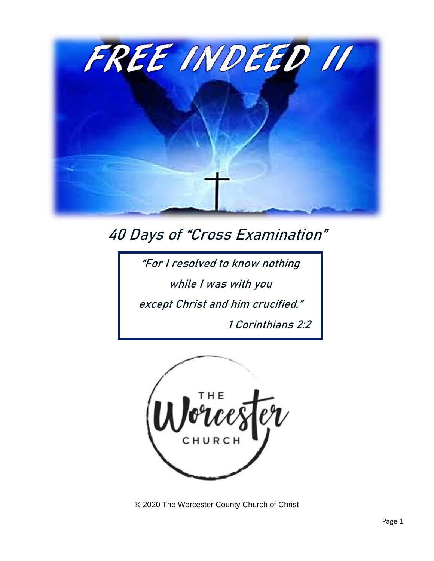

## 40 Days of "Cross Examination"

"For I resolved to know nothing while I was with you except Christ and him crucified." 1 Corinthians 2:2



© 2020 The Worcester County Church of Christ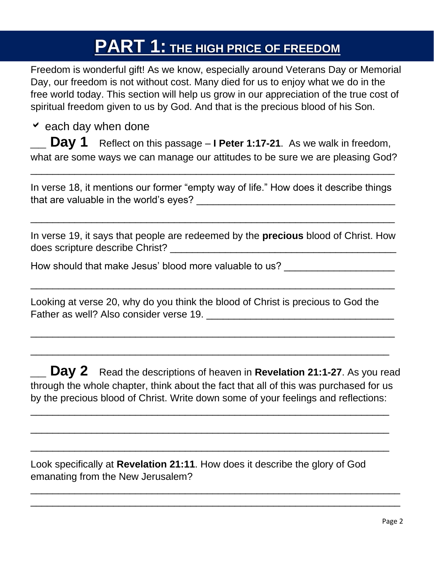# **PART 1: THE HIGH PRICE OF FREEDOM**

Freedom is wonderful gift! As we know, especially around Veterans Day or Memorial Day, our freedom is not without cost. Many died for us to enjoy what we do in the free world today. This section will help us grow in our appreciation of the true cost of spiritual freedom given to us by God. And that is the precious blood of his Son.

 $\vee$  each day when done

**Day 1** Reflect on this passage – **I Peter 1:17-21**. As we walk in freedom, what are some ways we can manage our attitudes to be sure we are pleasing God?

In verse 18, it mentions our former "empty way of life." How does it describe things that are valuable in the world's eyes?

 $\overline{\phantom{a}}$  , and the contract of the contract of the contract of the contract of the contract of the contract of the contract of the contract of the contract of the contract of the contract of the contract of the contrac

\_\_\_\_\_\_\_\_\_\_\_\_\_\_\_\_\_\_\_\_\_\_\_\_\_\_\_\_\_\_\_\_\_\_\_\_\_\_\_\_\_\_\_\_\_\_\_\_\_\_\_\_\_\_\_\_\_\_\_\_\_\_\_\_\_\_

In verse 19, it says that people are redeemed by the **precious** blood of Christ. How does scripture describe Christ? \_\_\_\_\_\_\_\_\_\_\_\_\_\_\_\_\_\_\_\_\_\_\_\_\_\_\_\_\_\_\_\_\_\_\_\_\_\_\_\_\_

 $\overline{\phantom{a}}$  , and the contract of the contract of the contract of the contract of the contract of the contract of the contract of the contract of the contract of the contract of the contract of the contract of the contrac

 $\overline{\phantom{a}}$  , and the contract of the contract of the contract of the contract of the contract of the contract of the contract of the contract of the contract of the contract of the contract of the contract of the contrac

\_\_\_\_\_\_\_\_\_\_\_\_\_\_\_\_\_\_\_\_\_\_\_\_\_\_\_\_\_\_\_\_\_\_\_\_\_\_\_\_\_\_\_\_\_\_\_\_\_\_\_\_\_\_\_\_\_\_\_\_\_\_\_\_\_

How should that make Jesus' blood more valuable to us? \_\_\_\_\_\_\_\_\_\_\_\_\_\_\_\_\_\_\_\_\_\_\_\_\_

Looking at verse 20, why do you think the blood of Christ is precious to God the Father as well? Also consider verse 19. **With an all of the constant of the constant of the constant of the constant of the constant of the constant of the constant of the constant of the constant of the constant of the co** 

**\_\_ Day 2** Read the descriptions of heaven in **Revelation 21:1-27**. As you read through the whole chapter, think about the fact that all of this was purchased for us by the precious blood of Christ. Write down some of your feelings and reflections:

\_\_\_\_\_\_\_\_\_\_\_\_\_\_\_\_\_\_\_\_\_\_\_\_\_\_\_\_\_\_\_\_\_\_\_\_\_\_\_\_\_\_\_\_\_\_\_\_\_\_\_\_\_\_\_\_\_\_\_\_\_\_\_\_\_

\_\_\_\_\_\_\_\_\_\_\_\_\_\_\_\_\_\_\_\_\_\_\_\_\_\_\_\_\_\_\_\_\_\_\_\_\_\_\_\_\_\_\_\_\_\_\_\_\_\_\_\_\_\_\_\_\_\_\_\_\_\_\_\_\_

\_\_\_\_\_\_\_\_\_\_\_\_\_\_\_\_\_\_\_\_\_\_\_\_\_\_\_\_\_\_\_\_\_\_\_\_\_\_\_\_\_\_\_\_\_\_\_\_\_\_\_\_\_\_\_\_\_\_\_\_\_\_\_\_\_

\_\_\_\_\_\_\_\_\_\_\_\_\_\_\_\_\_\_\_\_\_\_\_\_\_\_\_\_\_\_\_\_\_\_\_\_\_\_\_\_\_\_\_\_\_\_\_\_\_\_\_\_\_\_\_\_\_\_\_\_\_\_\_\_\_\_\_ \_\_\_\_\_\_\_\_\_\_\_\_\_\_\_\_\_\_\_\_\_\_\_\_\_\_\_\_\_\_\_\_\_\_\_\_\_\_\_\_\_\_\_\_\_\_\_\_\_\_\_\_\_\_\_\_\_\_\_\_\_\_\_\_\_\_\_

Look specifically at **Revelation 21:11**. How does it describe the glory of God emanating from the New Jerusalem?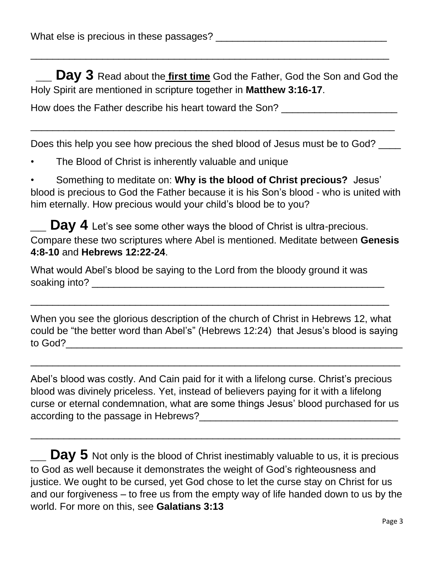**Day 3** Read about the *first time* God the Father, God the Son and God the Holy Spirit are mentioned in scripture together in **Matthew 3:16-17**.

\_\_\_\_\_\_\_\_\_\_\_\_\_\_\_\_\_\_\_\_\_\_\_\_\_\_\_\_\_\_\_\_\_\_\_\_\_\_\_\_\_\_\_\_\_\_\_\_\_\_\_\_\_\_\_\_\_\_\_\_\_\_\_\_\_

How does the Father describe his heart toward the Son? \_\_\_\_\_\_\_\_\_\_\_\_\_\_\_\_\_\_\_\_\_\_\_\_\_

Does this help you see how precious the shed blood of Jesus must be to God? \_\_\_\_

 $\overline{\phantom{a}}$  , and the contract of the contract of the contract of the contract of the contract of the contract of the contract of the contract of the contract of the contract of the contract of the contract of the contrac

The Blood of Christ is inherently valuable and unique

• Something to meditate on: **Why is the blood of Christ precious?** Jesus' blood is precious to God the Father because it is his Son's blood - who is united with him eternally. How precious would your child's blood be to you?

Day 4 Let's see some other ways the blood of Christ is ultra-precious. Compare these two scriptures where Abel is mentioned. Meditate between **Genesis 4:8-10** and **Hebrews 12:22-24**.

What would Abel's blood be saying to the Lord from the bloody ground it was soaking into? \_\_\_\_\_\_\_\_\_\_\_\_\_\_\_\_\_\_\_\_\_\_\_\_\_\_\_\_\_\_\_\_\_\_\_\_\_\_\_\_\_\_\_\_\_\_\_\_\_\_\_\_\_

When you see the glorious description of the church of Christ in Hebrews 12, what could be "the better word than Abel's" (Hebrews 12:24) that Jesus's blood is saying to God?\_\_\_\_\_\_\_\_\_\_\_\_\_\_\_\_\_\_\_\_\_\_\_\_\_\_\_\_\_\_\_\_\_\_\_\_\_\_\_\_\_\_\_\_\_\_\_\_\_\_\_\_\_\_\_\_\_\_\_\_\_

\_\_\_\_\_\_\_\_\_\_\_\_\_\_\_\_\_\_\_\_\_\_\_\_\_\_\_\_\_\_\_\_\_\_\_\_\_\_\_\_\_\_\_\_\_\_\_\_\_\_\_\_\_\_\_\_\_\_\_\_\_\_\_\_\_\_\_

\_\_\_\_\_\_\_\_\_\_\_\_\_\_\_\_\_\_\_\_\_\_\_\_\_\_\_\_\_\_\_\_\_\_\_\_\_\_\_\_\_\_\_\_\_\_\_\_\_\_\_\_\_\_\_\_\_\_\_\_\_\_\_\_\_

Abel's blood was costly. And Cain paid for it with a lifelong curse. Christ's precious blood was divinely priceless. Yet, instead of believers paying for it with a lifelong curse or eternal condemnation, what are some things Jesus' blood purchased for us according to the passage in Hebrews?\_\_\_\_\_\_\_\_\_\_\_\_\_\_\_\_\_\_\_\_\_\_\_\_\_\_\_\_\_\_\_\_\_\_\_\_

 $\overline{\phantom{a}}$  , and the contract of the contract of the contract of the contract of the contract of the contract of the contract of the contract of the contract of the contract of the contract of the contract of the contrac

**Day 5** Not only is the blood of Christ inestimably valuable to us, it is precious to God as well because it demonstrates the weight of God's righteousness and justice. We ought to be cursed, yet God chose to let the curse stay on Christ for us and our forgiveness – to free us from the empty way of life handed down to us by the world. For more on this, see **Galatians 3:13**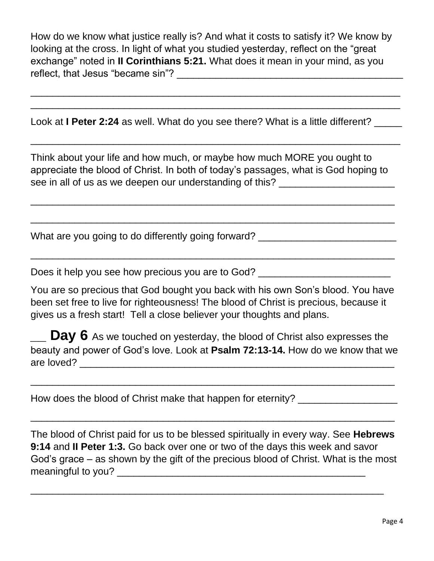How do we know what justice really is? And what it costs to satisfy it? We know by looking at the cross. In light of what you studied yesterday, reflect on the "great exchange" noted in **II Corinthians 5:21.** What does it mean in your mind, as you reflect, that Jesus "became sin"? \_\_\_\_\_\_\_\_\_\_\_\_\_\_\_\_\_\_\_\_\_\_\_\_\_\_\_\_\_\_\_\_\_\_\_\_\_\_\_\_\_

\_\_\_\_\_\_\_\_\_\_\_\_\_\_\_\_\_\_\_\_\_\_\_\_\_\_\_\_\_\_\_\_\_\_\_\_\_\_\_\_\_\_\_\_\_\_\_\_\_\_\_\_\_\_\_\_\_\_\_\_\_\_\_\_\_\_\_ \_\_\_\_\_\_\_\_\_\_\_\_\_\_\_\_\_\_\_\_\_\_\_\_\_\_\_\_\_\_\_\_\_\_\_\_\_\_\_\_\_\_\_\_\_\_\_\_\_\_\_\_\_\_\_\_\_\_\_\_\_\_\_\_\_\_\_

 $\overline{\phantom{a}}$  , and the contract of the contract of the contract of the contract of the contract of the contract of the contract of the contract of the contract of the contract of the contract of the contract of the contrac

Look at **I Peter 2:24** as well. What do you see there? What is a little different? \_\_\_\_\_

Think about your life and how much, or maybe how much MORE you ought to appreciate the blood of Christ. In both of today's passages, what is God hoping to see in all of us as we deepen our understanding of this?

\_\_\_\_\_\_\_\_\_\_\_\_\_\_\_\_\_\_\_\_\_\_\_\_\_\_\_\_\_\_\_\_\_\_\_\_\_\_\_\_\_\_\_\_\_\_\_\_\_\_\_\_\_\_\_\_\_\_\_\_\_\_\_\_\_\_

 $\overline{\phantom{a}}$  , and the contract of the contract of the contract of the contract of the contract of the contract of the contract of the contract of the contract of the contract of the contract of the contract of the contrac

 $\overline{\phantom{a}}$  , and the contract of the contract of the contract of the contract of the contract of the contract of the contract of the contract of the contract of the contract of the contract of the contract of the contrac

What are you going to do differently going forward? \_\_\_\_\_\_\_\_\_\_\_\_\_\_\_\_\_\_\_\_\_\_\_\_\_\_\_\_

Does it help you see how precious you are to God?

You are so precious that God bought you back with his own Son's blood. You have been set free to live for righteousness! The blood of Christ is precious, because it gives us a fresh start! Tell a close believer your thoughts and plans.

**\_\_ Day 6** As we touched on yesterday, the blood of Christ also expresses the beauty and power of God's love. Look at **Psalm 72:13-14.** How do we know that we are loved? **Example 20** and  $\overline{a}$  are loved?

 $\overline{\phantom{a}}$  , and the contract of the contract of the contract of the contract of the contract of the contract of the contract of the contract of the contract of the contract of the contract of the contract of the contrac

 $\_$  , and the set of the set of the set of the set of the set of the set of the set of the set of the set of the set of the set of the set of the set of the set of the set of the set of the set of the set of the set of th

How does the blood of Christ make that happen for eternity? \_\_\_\_\_\_\_\_\_\_\_\_\_\_\_\_\_\_\_\_

The blood of Christ paid for us to be blessed spiritually in every way. See **Hebrews 9:14** and **II Peter 1:3.** Go back over one or two of the days this week and savor God's grace – as shown by the gift of the precious blood of Christ. What is the most meaningful to you? The same of the same of the same of the same of the same of the same of the same of the same of the same of the same of the same of the same of the same of the same of the same of the same of the same of

\_\_\_\_\_\_\_\_\_\_\_\_\_\_\_\_\_\_\_\_\_\_\_\_\_\_\_\_\_\_\_\_\_\_\_\_\_\_\_\_\_\_\_\_\_\_\_\_\_\_\_\_\_\_\_\_\_\_\_\_\_\_\_\_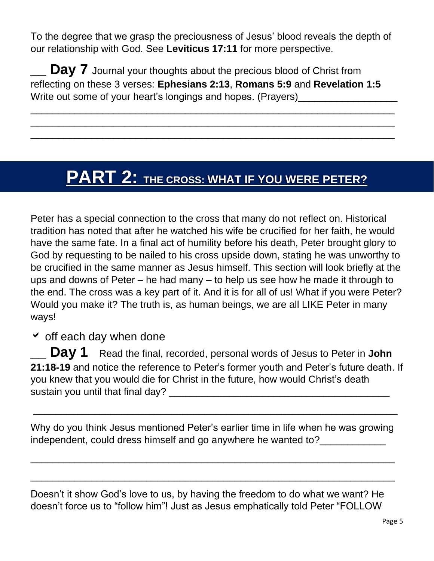To the degree that we grasp the preciousness of Jesus' blood reveals the depth of our relationship with God. See **Leviticus 17:11** for more perspective.

**Day 7** Journal your thoughts about the precious blood of Christ from reflecting on these 3 verses: **Ephesians 2:13**, **Romans 5:9** and **Revelation 1:5** Write out some of your heart's longings and hopes. (Prayers)

 $\overline{\phantom{a}}$  , and the contract of the contract of the contract of the contract of the contract of the contract of the contract of the contract of the contract of the contract of the contract of the contract of the contrac  $\overline{\phantom{a}}$  , and the contract of the contract of the contract of the contract of the contract of the contract of the contract of the contract of the contract of the contract of the contract of the contract of the contrac \_\_\_\_\_\_\_\_\_\_\_\_\_\_\_\_\_\_\_\_\_\_\_\_\_\_\_\_\_\_\_\_\_\_\_\_\_\_\_\_\_\_\_\_\_\_\_\_\_\_\_\_\_\_\_\_\_\_\_\_\_\_\_\_\_\_

## **PART 2: THE CROSS: WHAT IF YOU WERE PETER?**

Peter has a special connection to the cross that many do not reflect on. Historical tradition has noted that after he watched his wife be crucified for her faith, he would have the same fate. In a final act of humility before his death, Peter brought glory to God by requesting to be nailed to his cross upside down, stating he was unworthy to be crucified in the same manner as Jesus himself. This section will look briefly at the ups and downs of Peter – he had many – to help us see how he made it through to the end. The cross was a key part of it. And it is for all of us! What if you were Peter? Would you make it? The truth is, as human beings, we are all LIKE Peter in many ways!

 $\checkmark$  off each day when done

**Day 1** Read the final, recorded, personal words of Jesus to Peter in John **21:18-19** and notice the reference to Peter's former youth and Peter's future death. If you knew that you would die for Christ in the future, how would Christ's death sustain you until that final day? \_\_\_\_\_\_\_\_\_\_\_\_\_\_\_\_\_\_\_\_\_\_\_\_\_\_\_\_\_\_\_\_\_\_\_\_\_\_\_\_

Why do you think Jesus mentioned Peter's earlier time in life when he was growing independent, could dress himself and go anywhere he wanted to?

 $\overline{\phantom{a}}$  , and the contract of the contract of the contract of the contract of the contract of the contract of the contract of the contract of the contract of the contract of the contract of the contract of the contrac

 $\overline{\phantom{a}}$  , and the contract of the contract of the contract of the contract of the contract of the contract of the contract of the contract of the contract of the contract of the contract of the contract of the contrac

\_\_\_\_\_\_\_\_\_\_\_\_\_\_\_\_\_\_\_\_\_\_\_\_\_\_\_\_\_\_\_\_\_\_\_\_\_\_\_\_\_\_\_\_\_\_\_\_\_\_\_\_\_\_\_\_\_\_\_\_\_\_\_\_\_\_

Doesn't it show God's love to us, by having the freedom to do what we want? He doesn't force us to "follow him"! Just as Jesus emphatically told Peter "FOLLOW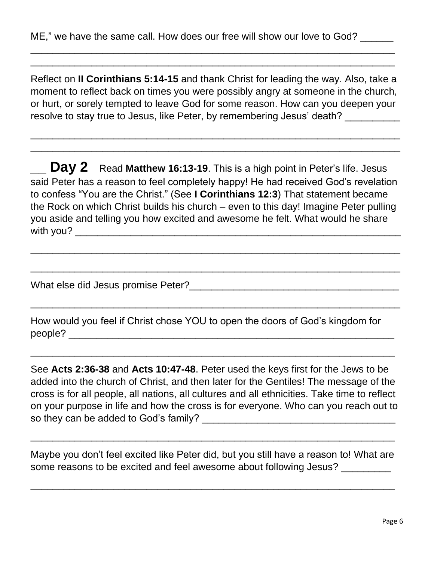Reflect on **II Corinthians 5:14-15** and thank Christ for leading the way. Also, take a moment to reflect back on times you were possibly angry at someone in the church, or hurt, or sorely tempted to leave God for some reason. How can you deepen your resolve to stay true to Jesus, like Peter, by remembering Jesus' death?

\_\_\_\_\_\_\_\_\_\_\_\_\_\_\_\_\_\_\_\_\_\_\_\_\_\_\_\_\_\_\_\_\_\_\_\_\_\_\_\_\_\_\_\_\_\_\_\_\_\_\_\_\_\_\_\_\_\_\_\_\_\_\_\_\_\_\_ \_\_\_\_\_\_\_\_\_\_\_\_\_\_\_\_\_\_\_\_\_\_\_\_\_\_\_\_\_\_\_\_\_\_\_\_\_\_\_\_\_\_\_\_\_\_\_\_\_\_\_\_\_\_\_\_\_\_\_\_\_\_\_\_\_\_\_

\_\_\_\_\_\_\_\_\_\_\_\_\_\_\_\_\_\_\_\_\_\_\_\_\_\_\_\_\_\_\_\_\_\_\_\_\_\_\_\_\_\_\_\_\_\_\_\_\_\_\_\_\_\_\_\_\_\_\_\_\_\_\_\_\_\_ \_\_\_\_\_\_\_\_\_\_\_\_\_\_\_\_\_\_\_\_\_\_\_\_\_\_\_\_\_\_\_\_\_\_\_\_\_\_\_\_\_\_\_\_\_\_\_\_\_\_\_\_\_\_\_\_\_\_\_\_\_\_\_\_\_\_

**Day 2** Read Matthew 16:13-19. This is a high point in Peter's life. Jesus said Peter has a reason to feel completely happy! He had received God's revelation to confess "You are the Christ." (See **I Corinthians 12:3**) That statement became the Rock on which Christ builds his church – even to this day! Imagine Peter pulling you aside and telling you how excited and awesome he felt. What would he share with you?  $\blacksquare$ 

 $\overline{\phantom{a}}$  , and the contract of the contract of the contract of the contract of the contract of the contract of the contract of the contract of the contract of the contract of the contract of the contract of the contrac

 $\overline{\phantom{a}}$  , and the contract of the contract of the contract of the contract of the contract of the contract of the contract of the contract of the contract of the contract of the contract of the contract of the contrac

 $\overline{\phantom{a}}$  , and the contract of the contract of the contract of the contract of the contract of the contract of the contract of the contract of the contract of the contract of the contract of the contract of the contrac

What else did Jesus promise Peter?\_\_\_\_\_\_\_\_\_\_\_\_\_\_\_\_\_\_\_\_\_\_\_\_\_\_\_\_\_\_\_\_\_\_\_\_\_\_

How would you feel if Christ chose YOU to open the doors of God's kingdom for people? \_\_\_\_\_\_\_\_\_\_\_\_\_\_\_\_\_\_\_\_\_\_\_\_\_\_\_\_\_\_\_\_\_\_\_\_\_\_\_\_\_\_\_\_\_\_\_\_\_\_\_\_\_\_\_\_\_\_\_

See **Acts 2:36-38** and **Acts 10:47-48**. Peter used the keys first for the Jews to be added into the church of Christ, and then later for the Gentiles! The message of the cross is for all people, all nations, all cultures and all ethnicities. Take time to reflect on your purpose in life and how the cross is for everyone. Who can you reach out to so they can be added to God's family? \_\_\_\_\_\_\_\_\_\_\_\_\_\_\_\_\_\_\_\_\_\_\_\_\_\_\_\_\_\_\_\_\_\_\_

\_\_\_\_\_\_\_\_\_\_\_\_\_\_\_\_\_\_\_\_\_\_\_\_\_\_\_\_\_\_\_\_\_\_\_\_\_\_\_\_\_\_\_\_\_\_\_\_\_\_\_\_\_\_\_\_\_\_\_\_\_\_\_\_\_\_

Maybe you don't feel excited like Peter did, but you still have a reason to! What are some reasons to be excited and feel awesome about following Jesus?

 $\overline{\phantom{a}}$  , and the contract of the contract of the contract of the contract of the contract of the contract of the contract of the contract of the contract of the contract of the contract of the contract of the contrac

\_\_\_\_\_\_\_\_\_\_\_\_\_\_\_\_\_\_\_\_\_\_\_\_\_\_\_\_\_\_\_\_\_\_\_\_\_\_\_\_\_\_\_\_\_\_\_\_\_\_\_\_\_\_\_\_\_\_\_\_\_\_\_\_\_\_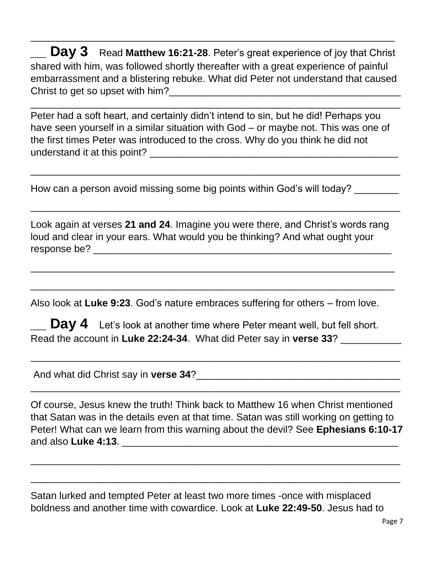**Day 3** Read Matthew 16:21-28. Peter's great experience of joy that Christ shared with him, was followed shortly thereafter with a great experience of painful embarrassment and a blistering rebuke. What did Peter not understand that caused Christ to get so upset with him? Christ to get so upset with him?

\_\_\_\_\_\_\_\_\_\_\_\_\_\_\_\_\_\_\_\_\_\_\_\_\_\_\_\_\_\_\_\_\_\_\_\_\_\_\_\_\_\_\_\_\_\_\_\_\_\_\_\_\_\_\_\_\_\_\_\_\_\_\_\_\_\_\_

 $\overline{\phantom{a}}$  , and the contract of the contract of the contract of the contract of the contract of the contract of the contract of the contract of the contract of the contract of the contract of the contract of the contrac

Peter had a soft heart, and certainly didn't intend to sin, but he did! Perhaps you have seen yourself in a similar situation with God – or maybe not. This was one of the first times Peter was introduced to the cross. Why do you think he did not understand it at this point? **Example 20** and the set of the set of the set of the set of the set of the set of the set of the set of the set of the set of the set of the set of the set of the set of the set of the set of

\_\_\_\_\_\_\_\_\_\_\_\_\_\_\_\_\_\_\_\_\_\_\_\_\_\_\_\_\_\_\_\_\_\_\_\_\_\_\_\_\_\_\_\_\_\_\_\_\_\_\_\_\_\_\_\_\_\_\_\_\_\_\_\_\_\_\_

\_\_\_\_\_\_\_\_\_\_\_\_\_\_\_\_\_\_\_\_\_\_\_\_\_\_\_\_\_\_\_\_\_\_\_\_\_\_\_\_\_\_\_\_\_\_\_\_\_\_\_\_\_\_\_\_\_\_\_\_\_\_\_\_\_\_\_

How can a person avoid missing some big points within God's will today?

Look again at verses **21 and 24**. Imagine you were there, and Christ's words rang loud and clear in your ears. What would you be thinking? And what ought your response be? \_\_\_\_\_\_\_\_\_\_\_\_\_\_\_\_\_\_\_\_\_\_\_\_\_\_\_\_\_\_\_\_\_\_\_\_\_\_\_\_\_\_\_\_\_\_\_\_\_\_\_\_\_\_

 $\overline{\phantom{a}}$  , and the contract of the contract of the contract of the contract of the contract of the contract of the contract of the contract of the contract of the contract of the contract of the contract of the contrac

\_\_\_\_\_\_\_\_\_\_\_\_\_\_\_\_\_\_\_\_\_\_\_\_\_\_\_\_\_\_\_\_\_\_\_\_\_\_\_\_\_\_\_\_\_\_\_\_\_\_\_\_\_\_\_\_\_\_\_\_\_\_\_\_\_\_

Also look at **Luke 9:23**. God's nature embraces suffering for others – from love.

**\_\_ Day 4** Let's look at another time where Peter meant well, but fell short. Read the account in **Luke 22:24-34**. What did Peter say in **verse 33**? \_\_\_\_\_\_\_\_\_\_\_

\_\_\_\_\_\_\_\_\_\_\_\_\_\_\_\_\_\_\_\_\_\_\_\_\_\_\_\_\_\_\_\_\_\_\_\_\_\_\_\_\_\_\_\_\_\_\_\_\_\_\_\_\_\_\_\_\_\_\_\_\_\_\_\_\_\_\_

 $\overline{\phantom{a}}$  , and the contract of the contract of the contract of the contract of the contract of the contract of the contract of the contract of the contract of the contract of the contract of the contract of the contrac

And what did Christ say in **verse 34**?\_\_\_\_\_\_\_\_\_\_\_\_\_\_\_\_\_\_\_\_\_\_\_\_\_\_\_\_\_\_\_\_\_\_\_\_\_

Of course, Jesus knew the truth! Think back to Matthew 16 when Christ mentioned that Satan was in the details even at that time. Satan was still working on getting to Peter! What can we learn from this warning about the devil? See **Ephesians 6:10-17** and also **Luke 4:13**. **Example 20 and also Luke 4:13**.

 $\overline{\phantom{a}}$  , and the contract of the contract of the contract of the contract of the contract of the contract of the contract of the contract of the contract of the contract of the contract of the contract of the contrac

\_\_\_\_\_\_\_\_\_\_\_\_\_\_\_\_\_\_\_\_\_\_\_\_\_\_\_\_\_\_\_\_\_\_\_\_\_\_\_\_\_\_\_\_\_\_\_\_\_\_\_\_\_\_\_\_\_\_\_\_\_\_\_\_\_\_\_

Satan lurked and tempted Peter at least two more times -once with misplaced boldness and another time with cowardice. Look at **Luke 22:49-50**. Jesus had to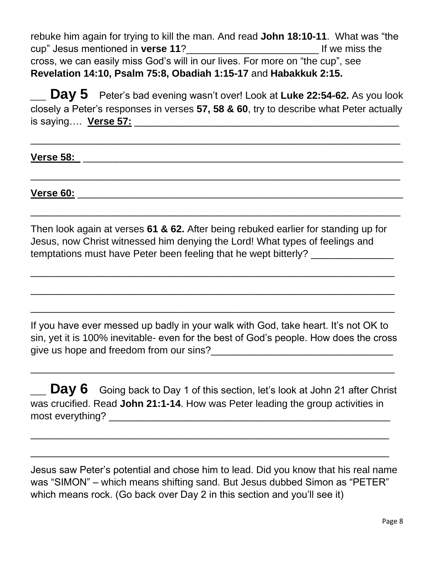rebuke him again for trying to kill the man. And read **John 18:10-11**. What was "the cup" Jesus mentioned in **verse 11**?\_\_\_\_\_\_\_\_\_\_\_\_\_\_\_\_\_\_\_\_\_\_\_\_ If we miss the cross, we can easily miss God's will in our lives. For more on "the cup", see **Revelation 14:10, Psalm 75:8, Obadiah 1:15-17** and **Habakkuk 2:15.**

**\_\_ Day 5** Peter's bad evening wasn't over! Look at **Luke 22:54-62.** As you look closely a Peter's responses in verses **57, 58 & 60**, try to describe what Peter actually is saying…. **Verse 57:** \_\_\_\_\_\_\_\_\_\_\_\_\_\_\_\_\_\_\_\_\_\_\_\_\_\_\_\_\_\_\_\_\_\_\_\_\_\_\_\_\_\_\_\_\_\_\_\_

 $\overline{\phantom{a}}$  , and the contract of the contract of the contract of the contract of the contract of the contract of the contract of the contract of the contract of the contract of the contract of the contract of the contrac

 $\overline{\phantom{a}}$  , and the contract of the contract of the contract of the contract of the contract of the contract of the contract of the contract of the contract of the contract of the contract of the contract of the contrac

\_\_\_\_\_\_\_\_\_\_\_\_\_\_\_\_\_\_\_\_\_\_\_\_\_\_\_\_\_\_\_\_\_\_\_\_\_\_\_\_\_\_\_\_\_\_\_\_\_\_\_\_\_\_\_\_\_\_\_\_\_\_\_\_\_\_\_

**Verse 58:** \_\_\_\_\_\_\_\_\_\_\_\_\_\_\_\_\_\_\_\_\_\_\_\_\_\_\_\_\_\_\_\_\_\_\_\_\_\_\_\_\_\_\_\_\_\_\_\_\_\_\_\_\_\_\_\_\_\_

**Verse 60:** \_\_\_\_\_\_\_\_\_\_\_\_\_\_\_\_\_\_\_\_\_\_\_\_\_\_\_\_\_\_\_\_\_\_\_\_\_\_\_\_\_\_\_\_\_\_\_\_\_\_\_\_\_\_\_\_\_\_\_

Then look again at verses **61 & 62.** After being rebuked earlier for standing up for Jesus, now Christ witnessed him denying the Lord! What types of feelings and temptations must have Peter been feeling that he wept bitterly?

\_\_\_\_\_\_\_\_\_\_\_\_\_\_\_\_\_\_\_\_\_\_\_\_\_\_\_\_\_\_\_\_\_\_\_\_\_\_\_\_\_\_\_\_\_\_\_\_\_\_\_\_\_\_\_\_\_\_\_\_\_\_\_\_\_\_

 $\overline{\phantom{a}}$  , and the contract of the contract of the contract of the contract of the contract of the contract of the contract of the contract of the contract of the contract of the contract of the contract of the contrac

 $\overline{\phantom{a}}$  , and the contract of the contract of the contract of the contract of the contract of the contract of the contract of the contract of the contract of the contract of the contract of the contract of the contrac

If you have ever messed up badly in your walk with God, take heart. It's not OK to sin, yet it is 100% inevitable- even for the best of God's people. How does the cross give us hope and freedom from our sins?\_\_\_\_\_\_\_\_\_\_\_\_\_\_\_\_\_\_\_\_\_\_\_\_\_\_\_\_\_\_\_\_\_

 $\overline{\phantom{a}}$  , and the contract of the contract of the contract of the contract of the contract of the contract of the contract of the contract of the contract of the contract of the contract of the contract of the contrac

 $\Box$  **Day 6** Going back to Day 1 of this section, let's look at John 21 after Christ was crucified. Read **John 21:1-14**. How was Peter leading the group activities in most everything? \_\_\_\_\_\_\_\_\_\_\_\_\_\_\_\_\_\_\_\_\_\_\_\_\_\_\_\_\_\_\_\_\_\_\_\_\_\_\_\_\_\_\_\_\_\_\_\_\_\_\_

\_\_\_\_\_\_\_\_\_\_\_\_\_\_\_\_\_\_\_\_\_\_\_\_\_\_\_\_\_\_\_\_\_\_\_\_\_\_\_\_\_\_\_\_\_\_\_\_\_\_\_\_\_\_\_\_\_\_\_\_\_\_\_\_\_

\_\_\_\_\_\_\_\_\_\_\_\_\_\_\_\_\_\_\_\_\_\_\_\_\_\_\_\_\_\_\_\_\_\_\_\_\_\_\_\_\_\_\_\_\_\_\_\_\_\_\_\_\_\_\_\_\_\_\_\_\_\_\_\_\_

Jesus saw Peter's potential and chose him to lead. Did you know that his real name was "SIMON" – which means shifting sand. But Jesus dubbed Simon as "PETER" which means rock. (Go back over Day 2 in this section and you'll see it)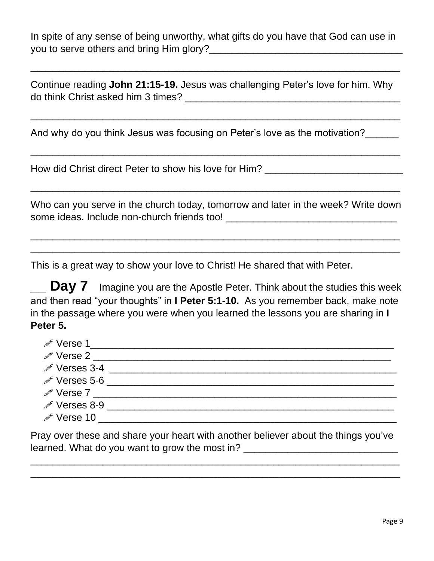In spite of any sense of being unworthy, what gifts do you have that God can use in you to serve others and bring Him glory?

 $\overline{\phantom{a}}$  , and the contract of the contract of the contract of the contract of the contract of the contract of the contract of the contract of the contract of the contract of the contract of the contract of the contrac

Continue reading **John 21:15-19.** Jesus was challenging Peter's love for him. Why do think Christ asked him 3 times? \_\_\_\_\_\_\_\_\_\_\_\_\_\_\_\_\_\_\_\_\_\_\_\_\_\_\_\_\_\_\_\_\_\_\_\_\_\_\_

\_\_\_\_\_\_\_\_\_\_\_\_\_\_\_\_\_\_\_\_\_\_\_\_\_\_\_\_\_\_\_\_\_\_\_\_\_\_\_\_\_\_\_\_\_\_\_\_\_\_\_\_\_\_\_\_\_\_\_\_\_\_\_\_\_\_\_

 $\overline{\phantom{a}}$  , and the contract of the contract of the contract of the contract of the contract of the contract of the contract of the contract of the contract of the contract of the contract of the contract of the contrac

And why do you think Jesus was focusing on Peter's love as the motivation?  $\frac{1}{\sqrt{1-\frac{1}{\sqrt{1-\frac{1}{\sqrt{1-\frac{1}{\sqrt{1-\frac{1}{\sqrt{1-\frac{1}{\sqrt{1-\frac{1}{\sqrt{1-\frac{1}{\sqrt{1-\frac{1}{\sqrt{1-\frac{1}{\sqrt{1-\frac{1}{\sqrt{1-\frac{1}{\sqrt{1-\frac{1}{\sqrt{1-\frac{1}{\sqrt{1-\frac{1}{\sqrt{1-\frac{1}{\sqrt{1-\frac$ 

How did Christ direct Peter to show his love for Him? \_\_\_\_\_\_\_\_\_\_\_\_\_\_\_\_\_\_\_\_\_\_\_\_\_\_

Who can you serve in the church today, tomorrow and later in the week? Write down some ideas. Include non-church friends too! \_\_\_\_\_\_\_\_\_\_\_\_\_\_\_\_\_\_\_\_\_\_\_\_\_\_\_\_\_\_\_

\_\_\_\_\_\_\_\_\_\_\_\_\_\_\_\_\_\_\_\_\_\_\_\_\_\_\_\_\_\_\_\_\_\_\_\_\_\_\_\_\_\_\_\_\_\_\_\_\_\_\_\_\_\_\_\_\_\_\_\_\_\_\_\_\_\_\_ \_\_\_\_\_\_\_\_\_\_\_\_\_\_\_\_\_\_\_\_\_\_\_\_\_\_\_\_\_\_\_\_\_\_\_\_\_\_\_\_\_\_\_\_\_\_\_\_\_\_\_\_\_\_\_\_\_\_\_\_\_\_\_\_\_\_\_

\_\_\_\_\_\_\_\_\_\_\_\_\_\_\_\_\_\_\_\_\_\_\_\_\_\_\_\_\_\_\_\_\_\_\_\_\_\_\_\_\_\_\_\_\_\_\_\_\_\_\_\_\_\_\_\_\_\_\_\_\_\_\_\_\_\_\_

This is a great way to show your love to Christ! He shared that with Peter.

**\_\_ Day 7** Imagine you are the Apostle Peter. Think about the studies this week and then read "your thoughts" in **I Peter 5:1-10.** As you remember back, make note in the passage where you were when you learned the lessons you are sharing in **I Peter 5.**

| $\mathscr{P}$ Verse 1    |  |
|--------------------------|--|
| $\mathscr{P}$ Verse 2    |  |
| $\mathscr{P}$ Verses 3-4 |  |
| $\mathscr{P}$ Verses 5-6 |  |
| $\mathscr{P}$ Verse 7    |  |
| <i>i</i> Verses 8-9      |  |
| $\mathscr{P}$ Verse 10   |  |
|                          |  |

Pray over these and share your heart with another believer about the things you've learned. What do you want to grow the most in?

\_\_\_\_\_\_\_\_\_\_\_\_\_\_\_\_\_\_\_\_\_\_\_\_\_\_\_\_\_\_\_\_\_\_\_\_\_\_\_\_\_\_\_\_\_\_\_\_\_\_\_\_\_\_\_\_\_\_\_\_\_\_\_\_\_\_\_  $\overline{\phantom{a}}$  , and the contract of the contract of the contract of the contract of the contract of the contract of the contract of the contract of the contract of the contract of the contract of the contract of the contrac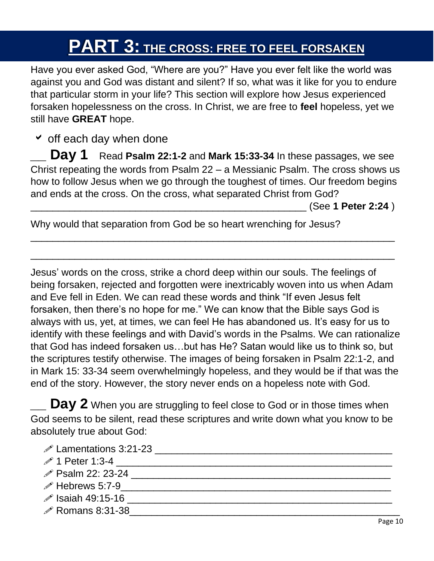# **PART 3: THE CROSS: FREE TO FEEL FORSAKEN**

Have you ever asked God, "Where are you?" Have you ever felt like the world was against you and God was distant and silent? If so, what was it like for you to endure that particular storm in your life? This section will explore how Jesus experienced forsaken hopelessness on the cross. In Christ, we are free to **feel** hopeless, yet we still have **GREAT** hope.

 $\overline{\phantom{a}}$  off each day when done

**Day 1** Read Psalm 22:1-2 and Mark 15:33-34 In these passages, we see Christ repeating the words from Psalm 22 – a Messianic Psalm. The cross shows us how to follow Jesus when we go through the toughest of times. Our freedom begins and ends at the cross. On the cross, what separated Christ from God?

 $\overline{\phantom{a}}$  , and the contract of the contract of the contract of the contract of the contract of the contract of the contract of the contract of the contract of the contract of the contract of the contract of the contrac

 $\overline{\phantom{a}}$  , and the contract of the contract of the contract of the contract of the contract of the contract of the contract of the contract of the contract of the contract of the contract of the contract of the contrac

\_\_\_\_\_\_\_\_\_\_\_\_\_\_\_\_\_\_\_\_\_\_\_\_\_\_\_\_\_\_\_\_\_\_\_\_\_\_\_\_\_\_\_\_\_\_\_\_\_\_ (See **1 Peter 2:24** )

Why would that separation from God be so heart wrenching for Jesus?

Jesus' words on the cross, strike a chord deep within our souls. The feelings of being forsaken, rejected and forgotten were inextricably woven into us when Adam and Eve fell in Eden. We can read these words and think "If even Jesus felt forsaken, then there's no hope for me." We can know that the Bible says God is always with us, yet, at times, we can feel He has abandoned us. It's easy for us to identify with these feelings and with David's words in the Psalms. We can rationalize that God has indeed forsaken us…but has He? Satan would like us to think so, but the scriptures testify otherwise. The images of being forsaken in Psalm 22:1-2, and in Mark 15: 33-34 seem overwhelmingly hopeless, and they would be if that was the end of the story. However, the story never ends on a hopeless note with God.

**Day 2** When you are struggling to feel close to God or in those times when God seems to be silent, read these scriptures and write down what you know to be absolutely true about God:

- $\mathscr{P}$  Lamentations 3:21-23  $\mathscr{P}$  1 Peter 1:3-4  $\blacksquare$  Psalm 22: 23-24 \_\_\_\_\_\_\_\_\_\_\_\_\_\_\_\_\_\_\_\_\_\_\_\_\_\_\_\_\_\_\_\_\_\_\_\_\_\_\_\_\_\_\_\_\_\_\_  $\mathscr{P}$  Hebrews 5:7-9 Isaiah 49:15-16 \_\_\_\_\_\_\_\_\_\_\_\_\_\_\_\_\_\_\_\_\_\_\_\_\_\_\_\_\_\_\_\_\_\_\_\_\_\_\_\_\_\_\_\_\_\_\_\_
- $\mathscr{P}$  Romans 8:31-38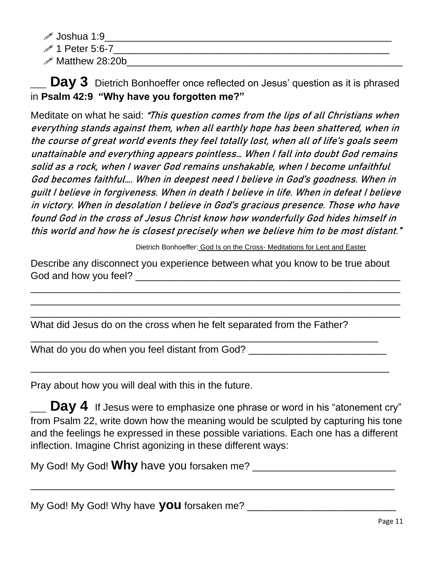- $\mathscr{P}$  Joshua 1:9  $\qquad \qquad \qquad \qquad$
- $\mathscr{P}$  1 Peter 5:6-7
- $\mathscr{P}$  Matthew 28:20b

**Day 3** Dietrich Bonhoeffer once reflected on Jesus' question as it is phrased in **Psalm 42:9 "Why have you forgotten me?"** 

Meditate on what he said: "This question comes from the lips of all Christians when everything stands against them, when all earthly hope has been shattered, when in the course of great world events they feel totally lost, when all of life's goals seem unattainable and everything appears pointless… When I fall into doubt God remains solid as a rock, when I waver God remains unshakable, when I become unfaithful God becomes faithful…. When in deepest need I believe in God's goodness. When in guilt I believe in forgiveness. When in death I believe in life. When in defeat I believe in victory. When in desolation I believe in God's gracious presence. Those who have found God in the cross of Jesus Christ know how wonderfully God hides himself in this world and how he is closest precisely when we believe him to be most distant."

Dietrich Bonhoeffer: God Is on the Cross- Meditations for Lent and Easter

Describe any disconnect you experience between what you know to be true about God and how you feel? **Example 20** Figure 20 Figure 20 Figure 20 Figure 20 Figure 20 Figure 20 Figure 20 Figure 20 Figure 20 Figure 20 Figure 20 Figure 20 Figure 20 Figure 20 Figure 20 Figure 20 Figure 20 Figure 20 Figure

\_\_\_\_\_\_\_\_\_\_\_\_\_\_\_\_\_\_\_\_\_\_\_\_\_\_\_\_\_\_\_\_\_\_\_\_\_\_\_\_\_\_\_\_\_\_\_\_\_\_\_\_\_\_\_\_\_\_\_\_\_\_\_\_\_\_\_ \_\_\_\_\_\_\_\_\_\_\_\_\_\_\_\_\_\_\_\_\_\_\_\_\_\_\_\_\_\_\_\_\_\_\_\_\_\_\_\_\_\_\_\_\_\_\_\_\_\_\_\_\_\_\_\_\_\_\_\_\_\_\_\_\_\_\_  $\overline{\phantom{a}}$  , and the contract of the contract of the contract of the contract of the contract of the contract of the contract of the contract of the contract of the contract of the contract of the contract of the contrac

What did Jesus do on the cross when he felt separated from the Father?

\_\_\_\_\_\_\_\_\_\_\_\_\_\_\_\_\_\_\_\_\_\_\_\_\_\_\_\_\_\_\_\_\_\_\_\_\_\_\_\_\_\_\_\_\_\_\_\_\_\_\_\_\_\_\_\_\_\_\_\_\_\_\_

\_\_\_\_\_\_\_\_\_\_\_\_\_\_\_\_\_\_\_\_\_\_\_\_\_\_\_\_\_\_\_\_\_\_\_\_\_\_\_\_\_\_\_\_\_\_\_\_\_\_\_\_\_\_\_\_\_\_\_\_\_\_\_\_\_

What do you do when you feel distant from God? \_\_\_\_\_\_\_\_\_\_\_\_\_\_\_\_\_\_\_\_\_\_\_\_\_\_\_\_\_\_\_\_\_

Pray about how you will deal with this in the future.

**Day 4** If Jesus were to emphasize one phrase or word in his "atonement cry" from Psalm 22, write down how the meaning would be sculpted by capturing his tone and the feelings he expressed in these possible variations. Each one has a different inflection. Imagine Christ agonizing in these different ways:

\_\_\_\_\_\_\_\_\_\_\_\_\_\_\_\_\_\_\_\_\_\_\_\_\_\_\_\_\_\_\_\_\_\_\_\_\_\_\_\_\_\_\_\_\_\_\_\_\_\_\_\_\_\_\_\_\_\_\_\_\_\_\_\_\_\_

My God! My God! **Why** have you forsaken me? \_\_\_\_\_\_\_\_\_\_\_\_\_\_\_\_\_\_\_\_\_\_\_\_\_\_

My God! My God! Why have **you** forsaken me?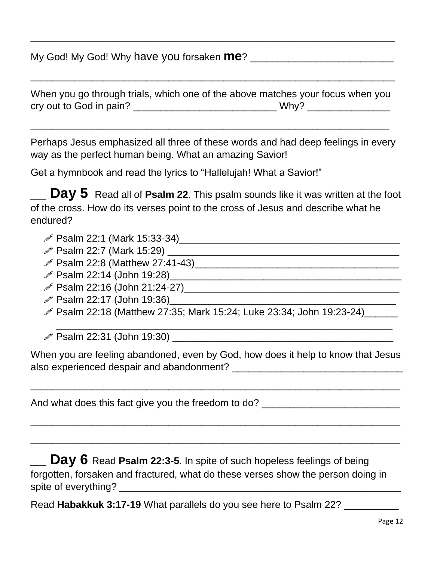My God! My God! Why have you forsaken **me**? \_\_\_\_\_\_\_\_\_\_\_\_\_\_\_\_\_\_\_\_\_\_\_\_\_\_

|                         | When you go through trials, which one of the above matches your focus when you |
|-------------------------|--------------------------------------------------------------------------------|
| cry out to God in pain? | Why?                                                                           |

\_\_\_\_\_\_\_\_\_\_\_\_\_\_\_\_\_\_\_\_\_\_\_\_\_\_\_\_\_\_\_\_\_\_\_\_\_\_\_\_\_\_\_\_\_\_\_\_\_\_\_\_\_\_\_\_\_\_\_\_\_\_\_\_\_

\_\_\_\_\_\_\_\_\_\_\_\_\_\_\_\_\_\_\_\_\_\_\_\_\_\_\_\_\_\_\_\_\_\_\_\_\_\_\_\_\_\_\_\_\_\_\_\_\_\_\_\_\_\_\_\_\_\_\_\_\_\_\_\_\_\_

 $\overline{\phantom{a}}$  , and the contract of the contract of the contract of the contract of the contract of the contract of the contract of the contract of the contract of the contract of the contract of the contract of the contrac

Perhaps Jesus emphasized all three of these words and had deep feelings in every way as the perfect human being. What an amazing Savior!

Get a hymnbook and read the lyrics to "Hallelujah! What a Savior!"

**\_\_ Day 5** Read all of **Psalm 22**. This psalm sounds like it was written at the foot of the cross. How do its verses point to the cross of Jesus and describe what he endured?

- Psalm 22:1 (Mark 15:33-34)\_\_\_\_\_\_\_\_\_\_\_\_\_\_\_\_\_\_\_\_\_\_\_\_\_\_\_\_\_\_\_\_\_\_\_\_\_\_\_\_
- $\mathscr{P}$  Psalm 22:7 (Mark 15:29)  $\mathscr{P}$
- Psalm 22:8 (Matthew 27:41-43)\_\_\_\_\_\_\_\_\_\_\_\_\_\_\_\_\_\_\_\_\_\_\_\_\_\_\_\_\_\_\_\_\_\_\_\_\_
- $\mathscr{P}$  Psalm 22:14 (John 19:28)
- Psalm 22:16 (John 21:24-27)\_\_\_\_\_\_\_\_\_\_\_\_\_\_\_\_\_\_\_\_\_\_\_\_\_\_\_\_\_\_\_\_\_\_\_\_\_\_\_
- $\mathscr{P}$  Psalm 22:17 (John 19:36)
- *♦* **Psalm 22:18 (Matthew 27:35; Mark 15:24; Luke 23:34; John 19:23-24)**

 $\mathscr{P}$  Psalm 22:31 (John 19:30)

When you are feeling abandoned, even by God, how does it help to know that Jesus also experienced despair and abandonment? **Example 2018** 

 $\overline{\phantom{a}}$  , and the contract of the contract of the contract of the contract of the contract of the contract of the contract of the contract of the contract of the contract of the contract of the contract of the contrac

\_\_\_\_\_\_\_\_\_\_\_\_\_\_\_\_\_\_\_\_\_\_\_\_\_\_\_\_\_\_\_\_\_\_\_\_\_\_\_\_\_\_\_\_\_\_\_\_\_\_\_\_\_\_\_\_\_\_\_\_\_\_\_\_\_\_\_

 $\overline{\phantom{a}}$  , and the contract of the contract of the contract of the contract of the contract of the contract of the contract of the contract of the contract of the contract of the contract of the contract of the contrac

\_\_\_\_\_\_\_\_\_\_\_\_\_\_\_\_\_\_\_\_\_\_\_\_\_\_\_\_\_\_\_\_\_\_\_\_\_\_\_\_\_\_\_\_\_\_\_\_\_\_\_\_\_\_\_\_\_\_\_\_\_

And what does this fact give you the freedom to do? \_\_\_\_\_\_\_\_\_\_\_\_\_\_\_\_\_\_\_\_\_\_\_\_\_\_\_\_

**Day 6** Read Psalm 22:3-5. In spite of such hopeless feelings of being forgotten, forsaken and fractured, what do these verses show the person doing in spite of everything? \_\_\_\_\_\_\_\_\_\_\_\_\_\_\_\_\_\_\_\_\_\_\_\_\_\_\_\_\_\_\_\_\_\_\_\_\_\_\_\_\_\_\_\_\_\_\_\_\_\_\_

Read Habakkuk 3:17-19 What parallels do you see here to Psalm 22? **\_\_\_\_\_\_\_\_**\_\_\_\_\_\_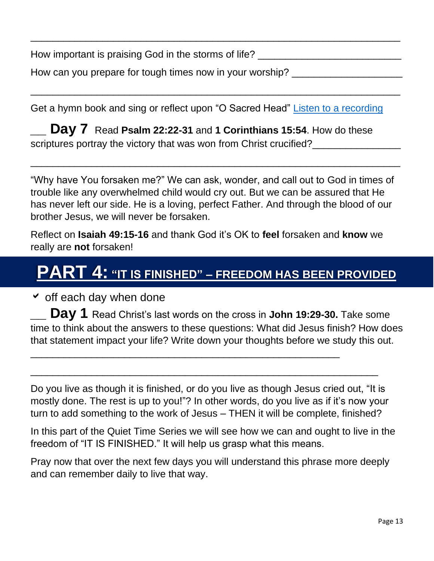How important is praising God in the storms of life?

How can you prepare for tough times now in your worship? \_\_\_\_\_\_\_\_\_\_\_\_\_\_\_\_\_\_\_\_\_\_\_

Get a hymn book and sing or reflect upon "O Sacred Head" Listen [to a recording](https://www.youtube.com/watch?v=98LcbCkhqJs)

 $\overline{\phantom{a}}$  , and the contract of the contract of the contract of the contract of the contract of the contract of the contract of the contract of the contract of the contract of the contract of the contract of the contrac

 $\overline{\phantom{a}}$  , and the contract of the contract of the contract of the contract of the contract of the contract of the contract of the contract of the contract of the contract of the contract of the contract of the contrac

**\_\_ Day 7** Read **Psalm 22:22-31** and **1 Corinthians 15:54**. How do these scriptures portray the victory that was won from Christ crucified?

"Why have You forsaken me?" We can ask, wonder, and call out to God in times of trouble like any overwhelmed child would cry out. But we can be assured that He has never left our side. He is a loving, perfect Father. And through the blood of our brother Jesus, we will never be forsaken.

\_\_\_\_\_\_\_\_\_\_\_\_\_\_\_\_\_\_\_\_\_\_\_\_\_\_\_\_\_\_\_\_\_\_\_\_\_\_\_\_\_\_\_\_\_\_\_\_\_\_\_\_\_\_\_\_\_\_\_\_\_\_\_\_\_\_\_

Reflect on **Isaiah 49:15-16** and thank God it's OK to **feel** forsaken and **know** we really are **not** forsaken!

## **PART 4: "IT IS FINISHED" – FREEDOM HAS BEEN PROVIDED**

 $\triangledown$  off each day when done

**\_\_ Day 1** Read Christ's last words on the cross in **John 19:29-30.** Take some time to think about the answers to these questions: What did Jesus finish? How does that statement impact your life? Write down your thoughts before we study this out.

Do you live as though it is finished, or do you live as though Jesus cried out, "It is mostly done. The rest is up to you!"? In other words, do you live as if it's now your turn to add something to the work of Jesus – THEN it will be complete, finished?

\_\_\_\_\_\_\_\_\_\_\_\_\_\_\_\_\_\_\_\_\_\_\_\_\_\_\_\_\_\_\_\_\_\_\_\_\_\_\_\_\_\_\_\_\_\_\_\_\_\_\_\_\_\_\_\_\_\_\_\_\_\_\_

\_\_\_\_\_\_\_\_\_\_\_\_\_\_\_\_\_\_\_\_\_\_\_\_\_\_\_\_\_\_\_\_\_\_\_\_\_\_\_\_\_\_\_\_\_\_\_\_\_\_\_\_\_\_\_\_

In this part of the Quiet Time Series we will see how we can and ought to live in the freedom of "IT IS FINISHED." It will help us grasp what this means.

Pray now that over the next few days you will understand this phrase more deeply and can remember daily to live that way.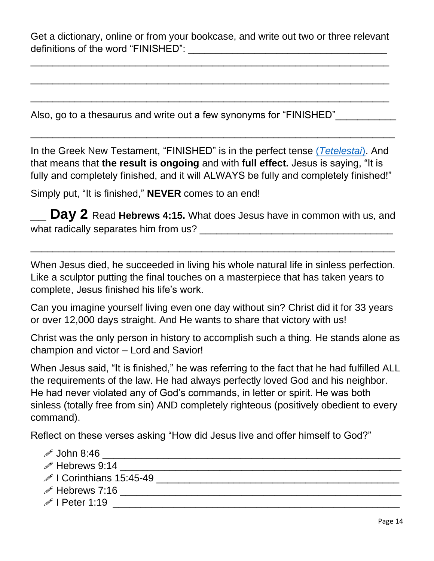Get a dictionary, online or from your bookcase, and write out two or three relevant definitions of the word "FINISHED":  $\blacksquare$ 

\_\_\_\_\_\_\_\_\_\_\_\_\_\_\_\_\_\_\_\_\_\_\_\_\_\_\_\_\_\_\_\_\_\_\_\_\_\_\_\_\_\_\_\_\_\_\_\_\_\_\_\_\_\_\_\_\_\_\_\_\_\_\_\_\_

\_\_\_\_\_\_\_\_\_\_\_\_\_\_\_\_\_\_\_\_\_\_\_\_\_\_\_\_\_\_\_\_\_\_\_\_\_\_\_\_\_\_\_\_\_\_\_\_\_\_\_\_\_\_\_\_\_\_\_\_\_\_\_\_\_

\_\_\_\_\_\_\_\_\_\_\_\_\_\_\_\_\_\_\_\_\_\_\_\_\_\_\_\_\_\_\_\_\_\_\_\_\_\_\_\_\_\_\_\_\_\_\_\_\_\_\_\_\_\_\_\_\_\_\_\_\_\_\_\_\_

Also, go to a thesaurus and write out a few synonyms for "FINISHED"

In the Greek New Testament, "FINISHED" is in the perfect tense (*[Tetelestai](https://biblehub.com/greek/tetelestai_5055.htm)*). And that means that **the result is ongoing** and with **full effect.** Jesus is saying, "It is fully and completely finished, and it will ALWAYS be fully and completely finished!"

 $\overline{\phantom{a}}$  , and the contract of the contract of the contract of the contract of the contract of the contract of the contract of the contract of the contract of the contract of the contract of the contract of the contrac

Simply put, "It is finished," **NEVER** comes to an end!

**Day 2** Read Hebrews 4:15. What does Jesus have in common with us, and what radically separates him from us? \_\_\_\_\_\_\_\_\_\_\_\_\_\_\_\_\_\_\_\_\_\_\_\_\_\_\_\_\_\_\_\_\_\_\_

\_\_\_\_\_\_\_\_\_\_\_\_\_\_\_\_\_\_\_\_\_\_\_\_\_\_\_\_\_\_\_\_\_\_\_\_\_\_\_\_\_\_\_\_\_\_\_\_\_\_\_\_\_\_\_\_\_\_\_\_\_\_\_\_\_\_

When Jesus died, he succeeded in living his whole natural life in sinless perfection. Like a sculptor putting the final touches on a masterpiece that has taken years to complete, Jesus finished his life's work.

Can you imagine yourself living even one day without sin? Christ did it for 33 years or over 12,000 days straight. And He wants to share that victory with us!

Christ was the only person in history to accomplish such a thing. He stands alone as champion and victor – Lord and Savior!

When Jesus said, "It is finished," he was referring to the fact that he had fulfilled ALL the requirements of the law. He had always perfectly loved God and his neighbor. He had never violated any of God's commands, in letter or spirit. He was both sinless (totally free from sin) AND completely righteous (positively obedient to every command).

Reflect on these verses asking "How did Jesus live and offer himself to God?"

| $\mathscr{P}$ John 8:46              |  |
|--------------------------------------|--|
| $\mathscr{P}$ Hebrews 9:14           |  |
| $\mathscr{P}$ I Corinthians 15:45-49 |  |
| $\mathscr{P}$ Hebrews 7:16           |  |
| $\mathscr{P}$ I Peter 1:19           |  |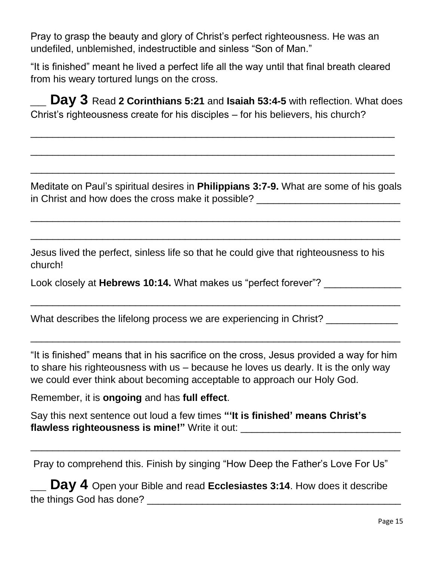Pray to grasp the beauty and glory of Christ's perfect righteousness. He was an undefiled, unblemished, indestructible and sinless "Son of Man."

"It is finished" meant he lived a perfect life all the way until that final breath cleared from his weary tortured lungs on the cross.

**\_\_ Day 3** Read **2 Corinthians 5:21** and **Isaiah 53:4-5** with reflection. What does Christ's righteousness create for his disciples – for his believers, his church?

 $\overline{\phantom{a}}$  , and the contract of the contract of the contract of the contract of the contract of the contract of the contract of the contract of the contract of the contract of the contract of the contract of the contrac

\_\_\_\_\_\_\_\_\_\_\_\_\_\_\_\_\_\_\_\_\_\_\_\_\_\_\_\_\_\_\_\_\_\_\_\_\_\_\_\_\_\_\_\_\_\_\_\_\_\_\_\_\_\_\_\_\_\_\_\_\_\_\_\_\_\_

 $\overline{\phantom{a}}$  , and the contract of the contract of the contract of the contract of the contract of the contract of the contract of the contract of the contract of the contract of the contract of the contract of the contrac

Meditate on Paul's spiritual desires in **Philippians 3:7-9.** What are some of his goals in Christ and how does the cross make it possible? \_\_\_\_\_\_\_\_\_\_\_\_\_\_\_\_\_\_\_\_\_\_\_\_\_\_\_\_\_

\_\_\_\_\_\_\_\_\_\_\_\_\_\_\_\_\_\_\_\_\_\_\_\_\_\_\_\_\_\_\_\_\_\_\_\_\_\_\_\_\_\_\_\_\_\_\_\_\_\_\_\_\_\_\_\_\_\_\_\_\_\_\_\_\_\_\_

\_\_\_\_\_\_\_\_\_\_\_\_\_\_\_\_\_\_\_\_\_\_\_\_\_\_\_\_\_\_\_\_\_\_\_\_\_\_\_\_\_\_\_\_\_\_\_\_\_\_\_\_\_\_\_\_\_\_\_\_\_\_\_\_\_\_\_

 $\overline{\phantom{a}}$  , and the contract of the contract of the contract of the contract of the contract of the contract of the contract of the contract of the contract of the contract of the contract of the contract of the contrac

Jesus lived the perfect, sinless life so that he could give that righteousness to his church!

Look closely at **Hebrews 10:14.** What makes us "perfect forever"? \_\_\_\_\_\_\_\_\_\_\_\_\_\_\_

What describes the lifelong process we are experiencing in Christ?

"It is finished" means that in his sacrifice on the cross, Jesus provided a way for him to share his righteousness with us – because he loves us dearly. It is the only way we could ever think about becoming acceptable to approach our Holy God.

\_\_\_\_\_\_\_\_\_\_\_\_\_\_\_\_\_\_\_\_\_\_\_\_\_\_\_\_\_\_\_\_\_\_\_\_\_\_\_\_\_\_\_\_\_\_\_\_\_\_\_\_\_\_\_\_\_\_\_\_\_\_\_\_\_\_\_

Remember, it is **ongoing** and has **full effect**.

Say this next sentence out loud a few times **"'It is finished' means Christ's flawless righteousness is mine!"** Write it out: \_\_\_\_\_\_\_\_\_\_\_\_\_\_\_\_\_\_\_\_\_\_\_\_\_\_\_\_\_

Pray to comprehend this. Finish by singing "How Deep the Father's Love For Us"

 $\overline{\phantom{a}}$  , and the contract of the contract of the contract of the contract of the contract of the contract of the contract of the contract of the contract of the contract of the contract of the contract of the contrac

**Day 4** Open your Bible and read **Ecclesiastes 3:14**. How does it describe the things God has done? The state of the state of the state of the state of the state of the state of the state of the state of the state of the state of the state of the state of the state of the state of the state of th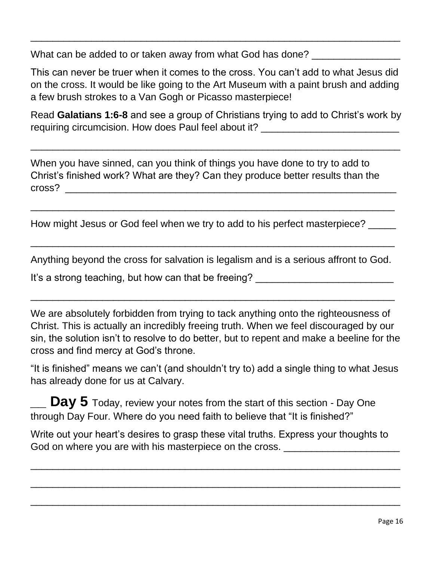What can be added to or taken away from what God has done? \_\_\_\_\_\_\_\_\_\_\_\_\_\_\_\_\_\_\_\_\_

This can never be truer when it comes to the cross. You can't add to what Jesus did on the cross. It would be like going to the Art Museum with a paint brush and adding a few brush strokes to a Van Gogh or Picasso masterpiece!

 $\overline{\phantom{a}}$  , and the contract of the contract of the contract of the contract of the contract of the contract of the contract of the contract of the contract of the contract of the contract of the contract of the contrac

Read **Galatians 1:6-8** and see a group of Christians trying to add to Christ's work by requiring circumcision. How does Paul feel about it? \_\_\_\_\_\_\_\_\_\_\_\_\_\_\_\_\_\_\_\_\_\_\_\_\_\_\_

\_\_\_\_\_\_\_\_\_\_\_\_\_\_\_\_\_\_\_\_\_\_\_\_\_\_\_\_\_\_\_\_\_\_\_\_\_\_\_\_\_\_\_\_\_\_\_\_\_\_\_\_\_\_\_\_\_\_\_\_\_\_\_\_\_\_\_

When you have sinned, can you think of things you have done to try to add to Christ's finished work? What are they? Can they produce better results than the cross? \_\_\_\_\_\_\_\_\_\_\_\_\_\_\_\_\_\_\_\_\_\_\_\_\_\_\_\_\_\_\_\_\_\_\_\_\_\_\_\_\_\_\_\_\_\_\_\_\_\_\_\_\_\_\_\_\_\_\_\_

How might Jesus or God feel when we try to add to his perfect masterpiece? \_\_\_\_\_

Anything beyond the cross for salvation is legalism and is a serious affront to God.

 $\overline{\phantom{a}}$  , and the contract of the contract of the contract of the contract of the contract of the contract of the contract of the contract of the contract of the contract of the contract of the contract of the contrac

 $\overline{\phantom{a}}$  , and the contract of the contract of the contract of the contract of the contract of the contract of the contract of the contract of the contract of the contract of the contract of the contract of the contrac

 $\overline{\phantom{a}}$  , and the contract of the contract of the contract of the contract of the contract of the contract of the contract of the contract of the contract of the contract of the contract of the contract of the contrac

It's a strong teaching, but how can that be freeing?

We are absolutely forbidden from trying to tack anything onto the righteousness of Christ. This is actually an incredibly freeing truth. When we feel discouraged by our sin, the solution isn't to resolve to do better, but to repent and make a beeline for the cross and find mercy at God's throne.

"It is finished" means we can't (and shouldn't try to) add a single thing to what Jesus has already done for us at Calvary.

**Day 5** Today, review your notes from the start of this section - Day One through Day Four. Where do you need faith to believe that "It is finished?"

Write out your heart's desires to grasp these vital truths. Express your thoughts to God on where you are with his masterpiece on the cross.

\_\_\_\_\_\_\_\_\_\_\_\_\_\_\_\_\_\_\_\_\_\_\_\_\_\_\_\_\_\_\_\_\_\_\_\_\_\_\_\_\_\_\_\_\_\_\_\_\_\_\_\_\_\_\_\_\_\_\_\_\_\_\_\_\_\_\_

 $\overline{\phantom{a}}$  , and the contract of the contract of the contract of the contract of the contract of the contract of the contract of the contract of the contract of the contract of the contract of the contract of the contrac

\_\_\_\_\_\_\_\_\_\_\_\_\_\_\_\_\_\_\_\_\_\_\_\_\_\_\_\_\_\_\_\_\_\_\_\_\_\_\_\_\_\_\_\_\_\_\_\_\_\_\_\_\_\_\_\_\_\_\_\_\_\_\_\_\_\_\_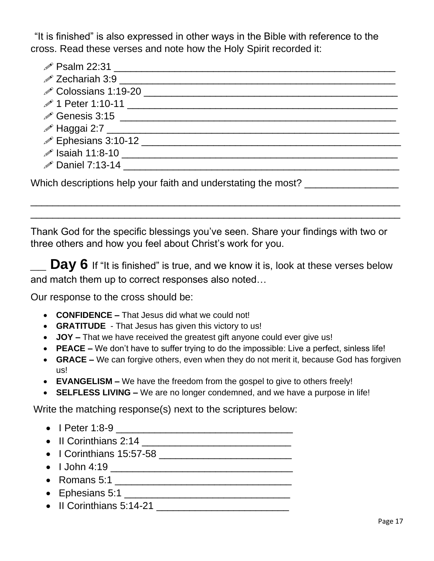"It is finished" is also expressed in other ways in the Bible with reference to the cross. Read these verses and note how the Holy Spirit recorded it:

| $^{\circ}$ Psalm 22:31 ________                                                                                       |
|-----------------------------------------------------------------------------------------------------------------------|
|                                                                                                                       |
| <b> <i>⊘</i> Colossians 1:19-20</b> <u>___________________</u> ____                                                   |
|                                                                                                                       |
|                                                                                                                       |
|                                                                                                                       |
|                                                                                                                       |
| говая 11:8-10 <u>година в полной стандартной собстании (в собстании собстании (в собстании собстании собстании со</u> |
| $\mathscr P$ Daniel 7:13-14                                                                                           |
| Which descriptions help your faith and understating the most?                                                         |

Thank God for the specific blessings you've seen. Share your findings with two or three others and how you feel about Christ's work for you.

 $\overline{\phantom{a}}$  , and the contract of the contract of the contract of the contract of the contract of the contract of the contract of the contract of the contract of the contract of the contract of the contract of the contrac \_\_\_\_\_\_\_\_\_\_\_\_\_\_\_\_\_\_\_\_\_\_\_\_\_\_\_\_\_\_\_\_\_\_\_\_\_\_\_\_\_\_\_\_\_\_\_\_\_\_\_\_\_\_\_\_\_\_\_\_\_\_\_\_\_\_\_

**\_\_ Day 6** If "It is finished" is true, and we know it is, look at these verses below and match them up to correct responses also noted…

Our response to the cross should be:

- **CONFIDENCE –** That Jesus did what we could not!
- **GRATITUDE**  That Jesus has given this victory to us!
- **JOY –** That we have received the greatest gift anyone could ever give us!
- **PEACE –** We don't have to suffer trying to do the impossible: Live a perfect, sinless life!
- **GRACE –** We can forgive others, even when they do not merit it, because God has forgiven us!
- **EVANGELISM –** We have the freedom from the gospel to give to others freely!
- **SELFLESS LIVING –** We are no longer condemned, and we have a purpose in life!

Write the matching response(s) next to the scriptures below:

- I Peter 1:8-9 \_\_\_\_\_\_\_\_\_\_\_\_\_\_\_\_\_\_\_\_\_\_\_\_\_\_\_\_\_\_\_\_
- II Corinthians  $2:14$
- I Corinthians 15:57-58 \_\_\_\_\_\_\_\_\_\_\_\_\_\_\_\_\_\_\_\_\_\_\_\_
- I John 4:19 \_\_\_\_\_\_\_\_\_\_\_\_\_\_\_\_\_\_\_\_\_\_\_\_\_\_\_\_\_\_\_\_\_
- Romans 5:1 \_\_\_\_\_\_\_\_\_\_\_\_\_\_\_\_\_\_\_\_\_\_\_\_\_\_\_\_\_\_\_\_
- Ephesians 5:1 \_\_\_\_\_\_\_\_\_\_\_\_\_\_\_\_\_\_\_\_\_\_\_\_\_\_\_\_\_\_
- II Corinthians 5:14-21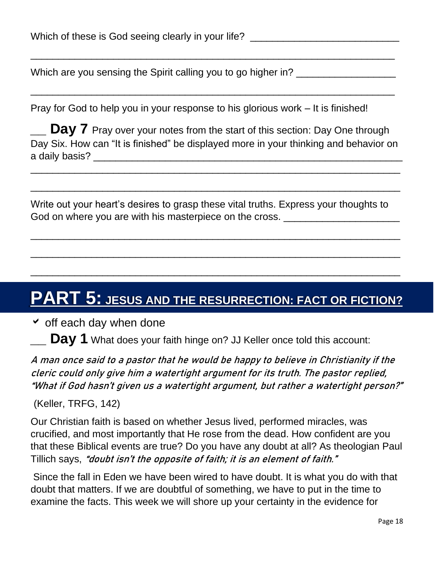Which are you sensing the Spirit calling you to go higher in? \_\_\_\_\_\_\_\_\_\_\_\_\_\_\_\_\_\_

Pray for God to help you in your response to his glorious work – It is finished!

**Day 7** Pray over your notes from the start of this section: Day One through Day Six. How can "It is finished" be displayed more in your thinking and behavior on a daily basis? \_\_\_\_\_\_\_\_\_\_\_\_\_\_\_\_\_\_\_\_\_\_\_\_\_\_\_\_\_\_\_\_\_\_\_\_\_\_\_\_\_\_\_\_\_\_\_\_\_\_\_\_\_\_\_\_

\_\_\_\_\_\_\_\_\_\_\_\_\_\_\_\_\_\_\_\_\_\_\_\_\_\_\_\_\_\_\_\_\_\_\_\_\_\_\_\_\_\_\_\_\_\_\_\_\_\_\_\_\_\_\_\_\_\_\_\_\_\_\_\_\_\_\_

 $\overline{\phantom{a}}$  , and the contract of the contract of the contract of the contract of the contract of the contract of the contract of the contract of the contract of the contract of the contract of the contract of the contrac

\_\_\_\_\_\_\_\_\_\_\_\_\_\_\_\_\_\_\_\_\_\_\_\_\_\_\_\_\_\_\_\_\_\_\_\_\_\_\_\_\_\_\_\_\_\_\_\_\_\_\_\_\_\_\_\_\_\_\_\_\_\_\_\_\_\_\_

 $\overline{\phantom{a}}$  , and the contract of the contract of the contract of the contract of the contract of the contract of the contract of the contract of the contract of the contract of the contract of the contract of the contrac

 $\overline{\phantom{a}}$  , and the contract of the contract of the contract of the contract of the contract of the contract of the contract of the contract of the contract of the contract of the contract of the contract of the contrac

\_\_\_\_\_\_\_\_\_\_\_\_\_\_\_\_\_\_\_\_\_\_\_\_\_\_\_\_\_\_\_\_\_\_\_\_\_\_\_\_\_\_\_\_\_\_\_\_\_\_\_\_\_\_\_\_\_\_\_\_\_\_\_\_\_\_

 $\overline{\phantom{a}}$  , and the contract of the contract of the contract of the contract of the contract of the contract of the contract of the contract of the contract of the contract of the contract of the contract of the contrac

Write out your heart's desires to grasp these vital truths. Express your thoughts to God on where you are with his masterpiece on the cross.

# **PART 5: JESUS AND THE RESURRECTION: FACT OR FICTION?**

 $\triangleright$  off each day when done

**\_\_ Day 1** What does your faith hinge on? JJ Keller once told this account:

A man once said to a pastor that he would be happy to believe in Christianity if the cleric could only give him a watertight argument for its truth. The pastor replied, "What if God hasn't given us a watertight argument, but rather a watertight person?"

(Keller, TRFG, 142)

Our Christian faith is based on whether Jesus lived, performed miracles, was crucified, and most importantly that He rose from the dead. How confident are you that these Biblical events are true? Do you have any doubt at all? As theologian Paul Tillich says, "doubt isn't the opposite of faith; it is an element of faith."

Since the fall in Eden we have been wired to have doubt. It is what you do with that doubt that matters. If we are doubtful of something, we have to put in the time to examine the facts. This week we will shore up your certainty in the evidence for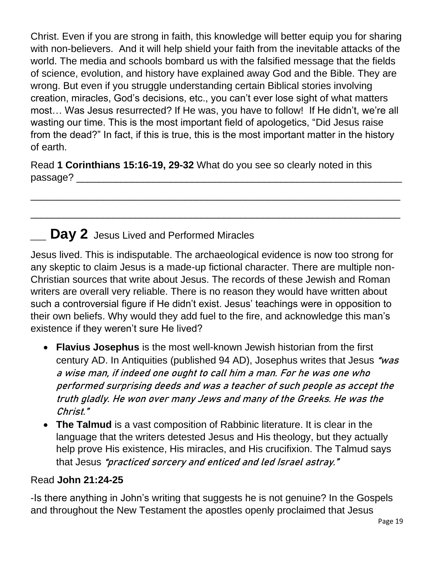Christ. Even if you are strong in faith, this knowledge will better equip you for sharing with non-believers. And it will help shield your faith from the inevitable attacks of the world. The media and schools bombard us with the falsified message that the fields of science, evolution, and history have explained away God and the Bible. They are wrong. But even if you struggle understanding certain Biblical stories involving creation, miracles, God's decisions, etc., you can't ever lose sight of what matters most… Was Jesus resurrected? If He was, you have to follow! If He didn't, we're all wasting our time. This is the most important field of apologetics, "Did Jesus raise from the dead?" In fact, if this is true, this is the most important matter in the history of earth.

Read **1 Corinthians 15:16-19, 29-32** What do you see so clearly noted in this passage? \_\_\_\_\_\_\_\_\_\_\_\_\_\_\_\_\_\_\_\_\_\_\_\_\_\_\_\_\_\_\_\_\_\_\_\_\_\_\_\_\_\_\_\_\_\_\_\_\_\_\_\_\_\_\_\_\_\_\_

\_\_\_\_\_\_\_\_\_\_\_\_\_\_\_\_\_\_\_\_\_\_\_\_\_\_\_\_\_\_\_\_\_\_\_\_\_\_\_\_\_\_\_\_\_\_\_\_\_\_\_\_\_\_\_\_\_\_\_\_\_\_\_\_\_\_\_

 $\overline{\phantom{a}}$  , and the contract of the contract of the contract of the contract of the contract of the contract of the contract of the contract of the contract of the contract of the contract of the contract of the contrac

### **\_\_ Day 2** Jesus Lived and Performed Miracles

Jesus lived. This is indisputable. The archaeological evidence is now too strong for any skeptic to claim Jesus is a made-up fictional character. There are multiple non-Christian sources that write about Jesus. The records of these Jewish and Roman writers are overall very reliable. There is no reason they would have written about such a controversial figure if He didn't exist. Jesus' teachings were in opposition to their own beliefs. Why would they add fuel to the fire, and acknowledge this man's existence if they weren't sure He lived?

- **Flavius Josephus** is the most well-known Jewish historian from the first century AD. In Antiquities (published 94 AD), Josephus writes that Jesus "was a wise man, if indeed one ought to call him a man. For he was one who performed surprising deeds and was a teacher of such people as accept the truth gladly. He won over many Jews and many of the Greeks. He was the Christ."
- **The Talmud** is a vast composition of Rabbinic literature. It is clear in the language that the writers detested Jesus and His theology, but they actually help prove His existence, His miracles, and His crucifixion. The Talmud says that Jesus "practiced sorcery and enticed and led Israel astray."

#### Read **John 21:24-25**

-Is there anything in John's writing that suggests he is not genuine? In the Gospels and throughout the New Testament the apostles openly proclaimed that Jesus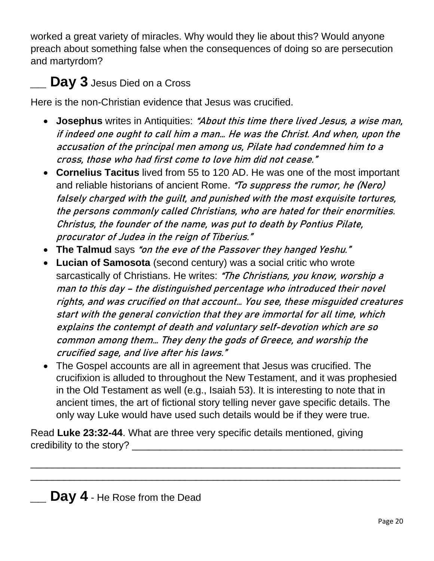worked a great variety of miracles. Why would they lie about this? Would anyone preach about something false when the consequences of doing so are persecution and martyrdom?

## **\_\_ Day 3** Jesus Died on a Cross

Here is the non-Christian evidence that Jesus was crucified.

- **Josephus** writes in Antiquities: "About this time there lived Jesus, a wise man, if indeed one ought to call him a man… He was the Christ. And when, upon the accusation of the principal men among us, Pilate had condemned him to a cross, those who had first come to love him did not cease."
- **Cornelius Tacitus** lived from 55 to 120 AD. He was one of the most important and reliable historians of ancient Rome. "To suppress the rumor, he (Nero) falsely charged with the guilt, and punished with the most exquisite tortures, the persons commonly called Christians, who are hated for their enormities. Christus, the founder of the name, was put to death by Pontius Pilate, procurator of Judea in the reign of Tiberius."
- **The Talmud** says "on the eve of the Passover they hanged Yeshu."
- **Lucian of Samosota** (second century) was a social critic who wrote sarcastically of Christians. He writes: "The Christians, you know, worship a man to this day – the distinguished percentage who introduced their novel rights, and was crucified on that account… You see, these misguided creatures start with the general conviction that they are immortal for all time, which explains the contempt of death and voluntary self-devotion which are so common among them… They deny the gods of Greece, and worship the crucified sage, and live after his laws."
- The Gospel accounts are all in agreement that Jesus was crucified. The crucifixion is alluded to throughout the New Testament, and it was prophesied in the Old Testament as well (e.g., Isaiah 53). It is interesting to note that in ancient times, the art of fictional story telling never gave specific details. The only way Luke would have used such details would be if they were true.

\_\_\_\_\_\_\_\_\_\_\_\_\_\_\_\_\_\_\_\_\_\_\_\_\_\_\_\_\_\_\_\_\_\_\_\_\_\_\_\_\_\_\_\_\_\_\_\_\_\_\_\_\_\_\_\_\_\_\_\_\_\_\_\_\_\_\_ \_\_\_\_\_\_\_\_\_\_\_\_\_\_\_\_\_\_\_\_\_\_\_\_\_\_\_\_\_\_\_\_\_\_\_\_\_\_\_\_\_\_\_\_\_\_\_\_\_\_\_\_\_\_\_\_\_\_\_\_\_\_\_\_\_\_\_

Read **Luke 23:32-44**. What are three very specific details mentioned, giving credibility to the story?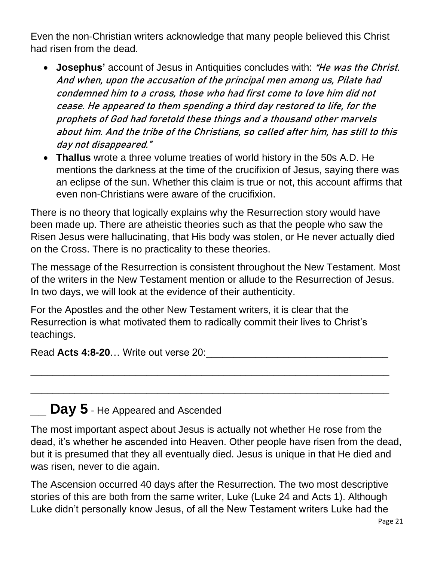Even the non-Christian writers acknowledge that many people believed this Christ had risen from the dead.

- **Josephus'** account of Jesus in Antiquities concludes with: "He was the Christ. And when, upon the accusation of the principal men among us, Pilate had condemned him to a cross, those who had first come to love him did not cease. He appeared to them spending a third day restored to life, for the prophets of God had foretold these things and a thousand other marvels about him. And the tribe of the Christians, so called after him, has still to this day not disappeared."
- **Thallus** wrote a three volume treaties of world history in the 50s A.D. He mentions the darkness at the time of the crucifixion of Jesus, saying there was an eclipse of the sun. Whether this claim is true or not, this account affirms that even non-Christians were aware of the crucifixion.

There is no theory that logically explains why the Resurrection story would have been made up. There are atheistic theories such as that the people who saw the Risen Jesus were hallucinating, that His body was stolen, or He never actually died on the Cross. There is no practicality to these theories.

The message of the Resurrection is consistent throughout the New Testament. Most of the writers in the New Testament mention or allude to the Resurrection of Jesus. In two days, we will look at the evidence of their authenticity.

For the Apostles and the other New Testament writers, it is clear that the Resurrection is what motivated them to radically commit their lives to Christ's teachings.

\_\_\_\_\_\_\_\_\_\_\_\_\_\_\_\_\_\_\_\_\_\_\_\_\_\_\_\_\_\_\_\_\_\_\_\_\_\_\_\_\_\_\_\_\_\_\_\_\_\_\_\_\_\_\_\_\_\_\_\_\_\_\_\_\_

\_\_\_\_\_\_\_\_\_\_\_\_\_\_\_\_\_\_\_\_\_\_\_\_\_\_\_\_\_\_\_\_\_\_\_\_\_\_\_\_\_\_\_\_\_\_\_\_\_\_\_\_\_\_\_\_\_\_\_\_\_\_\_\_\_

Read Acts 4:8-20... Write out verse 20:

### **Day 5** - He Appeared and Ascended

The most important aspect about Jesus is actually not whether He rose from the dead, it's whether he ascended into Heaven. Other people have risen from the dead, but it is presumed that they all eventually died. Jesus is unique in that He died and was risen, never to die again.

The Ascension occurred 40 days after the Resurrection. The two most descriptive stories of this are both from the same writer, Luke (Luke 24 and Acts 1). Although Luke didn't personally know Jesus, of all the New Testament writers Luke had the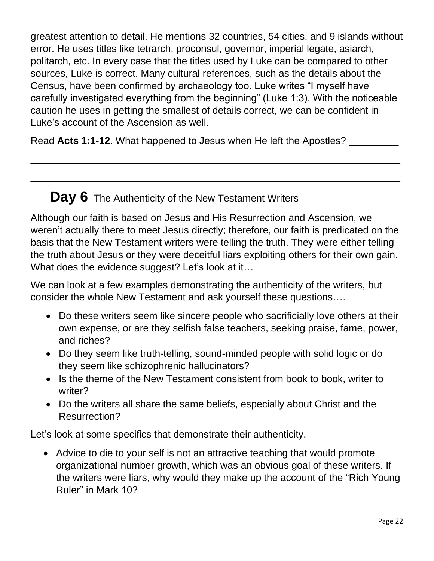greatest attention to detail. He mentions 32 countries, 54 cities, and 9 islands without error. He uses titles like tetrarch, proconsul, governor, imperial legate, asiarch, politarch, etc. In every case that the titles used by Luke can be compared to other sources, Luke is correct. Many cultural references, such as the details about the Census, have been confirmed by archaeology too. Luke writes "I myself have carefully investigated everything from the beginning" (Luke 1:3). With the noticeable caution he uses in getting the smallest of details correct, we can be confident in Luke's account of the Ascension as well.

Read Acts 1:1-12. What happened to Jesus when He left the Apostles? \_\_\_\_\_\_\_\_\_\_\_\_

### **Day 6** The Authenticity of the New Testament Writers

Although our faith is based on Jesus and His Resurrection and Ascension, we weren't actually there to meet Jesus directly; therefore, our faith is predicated on the basis that the New Testament writers were telling the truth. They were either telling the truth about Jesus or they were deceitful liars exploiting others for their own gain. What does the evidence suggest? Let's look at it...

\_\_\_\_\_\_\_\_\_\_\_\_\_\_\_\_\_\_\_\_\_\_\_\_\_\_\_\_\_\_\_\_\_\_\_\_\_\_\_\_\_\_\_\_\_\_\_\_\_\_\_\_\_\_\_\_\_\_\_\_\_\_\_\_\_\_\_

\_\_\_\_\_\_\_\_\_\_\_\_\_\_\_\_\_\_\_\_\_\_\_\_\_\_\_\_\_\_\_\_\_\_\_\_\_\_\_\_\_\_\_\_\_\_\_\_\_\_\_\_\_\_\_\_\_\_\_\_\_\_\_\_\_\_\_

We can look at a few examples demonstrating the authenticity of the writers, but consider the whole New Testament and ask yourself these questions….

- Do these writers seem like sincere people who sacrificially love others at their own expense, or are they selfish false teachers, seeking praise, fame, power, and riches?
- Do they seem like truth-telling, sound-minded people with solid logic or do they seem like schizophrenic hallucinators?
- Is the theme of the New Testament consistent from book to book, writer to writer?
- Do the writers all share the same beliefs, especially about Christ and the Resurrection?

Let's look at some specifics that demonstrate their authenticity.

• Advice to die to your self is not an attractive teaching that would promote organizational number growth, which was an obvious goal of these writers. If the writers were liars, why would they make up the account of the "Rich Young Ruler" in Mark 10?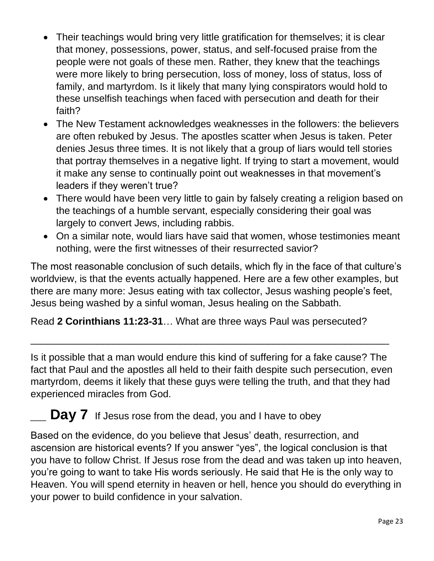- Their teachings would bring very little gratification for themselves; it is clear that money, possessions, power, status, and self-focused praise from the people were not goals of these men. Rather, they knew that the teachings were more likely to bring persecution, loss of money, loss of status, loss of family, and martyrdom. Is it likely that many lying conspirators would hold to these unselfish teachings when faced with persecution and death for their faith?
- The New Testament acknowledges weaknesses in the followers: the believers are often rebuked by Jesus. The apostles scatter when Jesus is taken. Peter denies Jesus three times. It is not likely that a group of liars would tell stories that portray themselves in a negative light. If trying to start a movement, would it make any sense to continually point out weaknesses in that movement's leaders if they weren't true?
- There would have been very little to gain by falsely creating a religion based on the teachings of a humble servant, especially considering their goal was largely to convert Jews, including rabbis.
- On a similar note, would liars have said that women, whose testimonies meant nothing, were the first witnesses of their resurrected savior?

The most reasonable conclusion of such details, which fly in the face of that culture's worldview, is that the events actually happened. Here are a few other examples, but there are many more: Jesus eating with tax collector, Jesus washing people's feet, Jesus being washed by a sinful woman, Jesus healing on the Sabbath.

Read **2 Corinthians 11:23-31**… What are three ways Paul was persecuted?

Is it possible that a man would endure this kind of suffering for a fake cause? The fact that Paul and the apostles all held to their faith despite such persecution, even martyrdom, deems it likely that these guys were telling the truth, and that they had experienced miracles from God.

\_\_\_\_\_\_\_\_\_\_\_\_\_\_\_\_\_\_\_\_\_\_\_\_\_\_\_\_\_\_\_\_\_\_\_\_\_\_\_\_\_\_\_\_\_\_\_\_\_\_\_\_\_\_\_\_\_\_\_\_\_\_\_\_\_

**Day 7** If Jesus rose from the dead, you and I have to obey

Based on the evidence, do you believe that Jesus' death, resurrection, and ascension are historical events? If you answer "yes", the logical conclusion is that you have to follow Christ. If Jesus rose from the dead and was taken up into heaven, you're going to want to take His words seriously. He said that He is the only way to Heaven. You will spend eternity in heaven or hell, hence you should do everything in your power to build confidence in your salvation.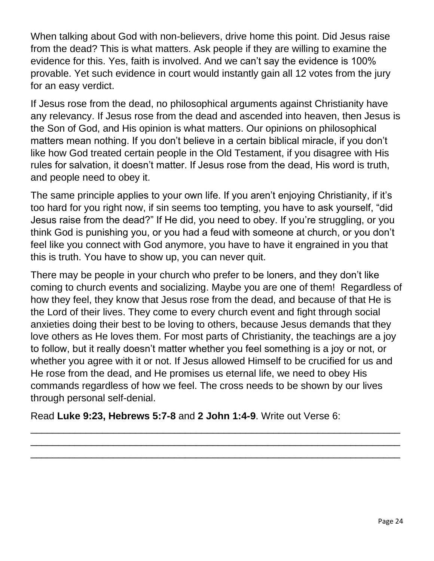When talking about God with non-believers, drive home this point. Did Jesus raise from the dead? This is what matters. Ask people if they are willing to examine the evidence for this. Yes, faith is involved. And we can't say the evidence is 100% provable. Yet such evidence in court would instantly gain all 12 votes from the jury for an easy verdict.

If Jesus rose from the dead, no philosophical arguments against Christianity have any relevancy. If Jesus rose from the dead and ascended into heaven, then Jesus is the Son of God, and His opinion is what matters. Our opinions on philosophical matters mean nothing. If you don't believe in a certain biblical miracle, if you don't like how God treated certain people in the Old Testament, if you disagree with His rules for salvation, it doesn't matter. If Jesus rose from the dead, His word is truth, and people need to obey it.

The same principle applies to your own life. If you aren't enjoying Christianity, if it's too hard for you right now, if sin seems too tempting, you have to ask yourself, "did Jesus raise from the dead?" If He did, you need to obey. If you're struggling, or you think God is punishing you, or you had a feud with someone at church, or you don't feel like you connect with God anymore, you have to have it engrained in you that this is truth. You have to show up, you can never quit.

There may be people in your church who prefer to be loners, and they don't like coming to church events and socializing. Maybe you are one of them! Regardless of how they feel, they know that Jesus rose from the dead, and because of that He is the Lord of their lives. They come to every church event and fight through social anxieties doing their best to be loving to others, because Jesus demands that they love others as He loves them. For most parts of Christianity, the teachings are a joy to follow, but it really doesn't matter whether you feel something is a joy or not, or whether you agree with it or not. If Jesus allowed Himself to be crucified for us and He rose from the dead, and He promises us eternal life, we need to obey His commands regardless of how we feel. The cross needs to be shown by our lives through personal self-denial.

\_\_\_\_\_\_\_\_\_\_\_\_\_\_\_\_\_\_\_\_\_\_\_\_\_\_\_\_\_\_\_\_\_\_\_\_\_\_\_\_\_\_\_\_\_\_\_\_\_\_\_\_\_\_\_\_\_\_\_\_\_\_\_\_\_\_\_ \_\_\_\_\_\_\_\_\_\_\_\_\_\_\_\_\_\_\_\_\_\_\_\_\_\_\_\_\_\_\_\_\_\_\_\_\_\_\_\_\_\_\_\_\_\_\_\_\_\_\_\_\_\_\_\_\_\_\_\_\_\_\_\_\_\_\_ \_\_\_\_\_\_\_\_\_\_\_\_\_\_\_\_\_\_\_\_\_\_\_\_\_\_\_\_\_\_\_\_\_\_\_\_\_\_\_\_\_\_\_\_\_\_\_\_\_\_\_\_\_\_\_\_\_\_\_\_\_\_\_\_\_\_\_

Read **Luke 9:23, Hebrews 5:7-8** and **2 John 1:4-9**. Write out Verse 6: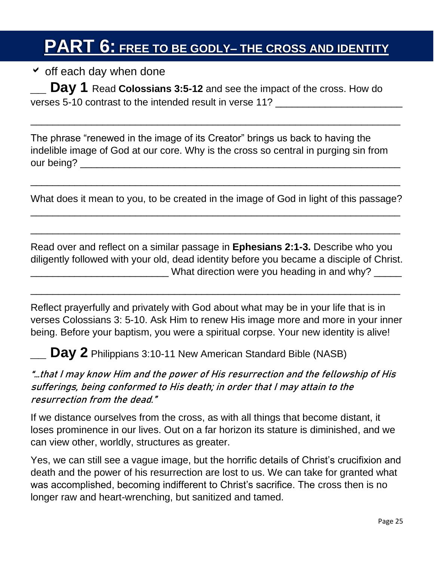# **PART 6: FREE TO BE GODLY– THE CROSS AND IDENTITY**

 $\checkmark$  off each day when done **IDENTITYAPPLICATIONS** 

**\_\_ Day 1** Read **Colossians 3:5-12** and see the impact of the cross. How do verses 5-10 contrast to the intended result in verse 11?

The phrase "renewed in the image of its Creator" brings us back to having the indelible image of God at our core. Why is the cross so central in purging sin from our being? \_\_\_\_\_\_\_\_\_\_\_\_\_\_\_\_\_\_\_\_\_\_\_\_\_\_\_\_\_\_\_\_\_\_\_\_\_\_\_\_\_\_\_\_\_\_\_\_\_\_\_\_\_\_\_\_\_\_

 $\overline{\phantom{a}}$  , and the contract of the contract of the contract of the contract of the contract of the contract of the contract of the contract of the contract of the contract of the contract of the contract of the contrac

What does it mean to you, to be created in the image of God in light of this passage?  $\overline{\phantom{a}}$  , and the contract of the contract of the contract of the contract of the contract of the contract of the contract of the contract of the contract of the contract of the contract of the contract of the contrac

 $\overline{\phantom{a}}$  , and the contract of the contract of the contract of the contract of the contract of the contract of the contract of the contract of the contract of the contract of the contract of the contract of the contrac

\_\_\_\_\_\_\_\_\_\_\_\_\_\_\_\_\_\_\_\_\_\_\_\_\_\_\_\_\_\_\_\_\_\_\_\_\_\_\_\_\_\_\_\_\_\_\_\_\_\_\_\_\_\_\_\_\_\_\_\_\_\_\_\_\_\_\_

Read over and reflect on a similar passage in **Ephesians 2:1-3.** Describe who you diligently followed with your old, dead identity before you became a disciple of Christ. What direction were you heading in and why? \_\_\_\_\_

Reflect prayerfully and privately with God about what may be in your life that is in verses Colossians 3: 5-10. Ask Him to renew His image more and more in your inner being. Before your baptism, you were a spiritual corpse. Your new identity is alive!

\_\_\_\_\_\_\_\_\_\_\_\_\_\_\_\_\_\_\_\_\_\_\_\_\_\_\_\_\_\_\_\_\_\_\_\_\_\_\_\_\_\_\_\_\_\_\_\_\_\_\_\_\_\_\_\_\_\_\_\_\_\_\_\_\_\_\_

**Day 2** Philippians 3:10-11 New American Standard Bible (NASB)

#### "…that I may know Him and the power of His resurrection and the fellowship of His sufferings, being conformed to His death; in order that I may attain to the resurrection from the dead."

If we distance ourselves from the cross, as with all things that become distant, it loses prominence in our lives. Out on a far horizon its stature is diminished, and we can view other, worldly, structures as greater.

Yes, we can still see a vague image, but the horrific details of Christ's crucifixion and death and the power of his resurrection are lost to us. We can take for granted what was accomplished, becoming indifferent to Christ's sacrifice. The cross then is no longer raw and heart-wrenching, but sanitized and tamed.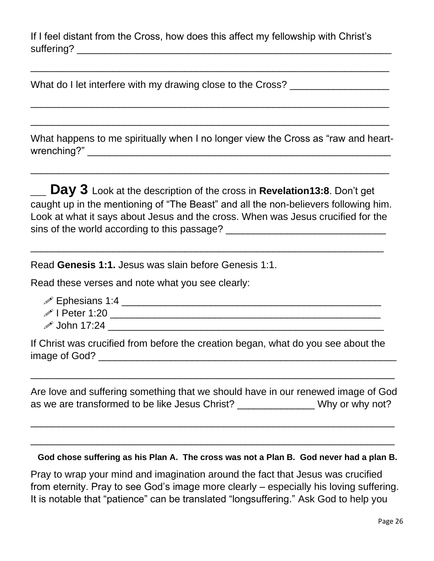If I feel distant from the Cross, how does this affect my fellowship with Christ's suffering? \_\_\_\_\_\_\_\_\_\_\_\_\_\_\_\_\_\_\_\_\_\_\_\_\_\_\_\_\_\_\_\_\_\_\_\_\_\_\_\_\_\_\_\_\_\_\_\_\_\_\_\_\_\_\_\_\_

\_\_\_\_\_\_\_\_\_\_\_\_\_\_\_\_\_\_\_\_\_\_\_\_\_\_\_\_\_\_\_\_\_\_\_\_\_\_\_\_\_\_\_\_\_\_\_\_\_\_\_\_\_\_\_\_\_\_\_\_\_\_\_\_\_

\_\_\_\_\_\_\_\_\_\_\_\_\_\_\_\_\_\_\_\_\_\_\_\_\_\_\_\_\_\_\_\_\_\_\_\_\_\_\_\_\_\_\_\_\_\_\_\_\_\_\_\_\_\_\_\_\_\_\_\_\_\_\_\_\_

\_\_\_\_\_\_\_\_\_\_\_\_\_\_\_\_\_\_\_\_\_\_\_\_\_\_\_\_\_\_\_\_\_\_\_\_\_\_\_\_\_\_\_\_\_\_\_\_\_\_\_\_\_\_\_\_\_\_\_\_\_\_\_\_\_

What do I let interfere with my drawing close to the Cross? \_\_\_\_\_\_\_\_\_\_\_\_\_\_\_\_\_\_\_\_

What happens to me spiritually when I no longer view the Cross as "raw and heartwrenching?" \_\_\_\_\_\_\_\_\_\_\_\_\_\_\_\_\_\_\_\_\_\_\_\_\_\_\_\_\_\_\_\_\_\_\_\_\_\_\_\_\_\_\_\_\_\_\_\_\_\_\_\_\_\_\_

\_\_\_\_\_\_\_\_\_\_\_\_\_\_\_\_\_\_\_\_\_\_\_\_\_\_\_\_\_\_\_\_\_\_\_\_\_\_\_\_\_\_\_\_\_\_\_\_\_\_\_\_\_\_\_\_\_\_\_\_\_\_\_\_\_

**Day 3** Look at the description of the cross in **Revelation13:8**. Don't get caught up in the mentioning of "The Beast" and all the non-believers following him. Look at what it says about Jesus and the cross. When was Jesus crucified for the sins of the world according to this passage? \_\_\_\_\_\_\_\_\_\_\_\_\_\_\_\_\_\_\_\_\_\_\_\_\_\_\_\_\_\_\_\_\_\_\_

\_\_\_\_\_\_\_\_\_\_\_\_\_\_\_\_\_\_\_\_\_\_\_\_\_\_\_\_\_\_\_\_\_\_\_\_\_\_\_\_\_\_\_\_\_\_\_\_\_\_\_\_\_\_\_\_\_\_\_\_\_\_\_\_

Read **Genesis 1:1.** Jesus was slain before Genesis 1:1.

Read these verses and note what you see clearly:

- Ephesians 1:4 \_\_\_\_\_\_\_\_\_\_\_\_\_\_\_\_\_\_\_\_\_\_\_\_\_\_\_\_\_\_\_\_\_\_\_\_\_\_\_\_\_\_\_\_\_\_\_
- I Peter 1:20 \_\_\_\_\_\_\_\_\_\_\_\_\_\_\_\_\_\_\_\_\_\_\_\_\_\_\_\_\_\_\_\_\_\_\_\_\_\_\_\_\_\_\_\_\_\_\_\_\_
- $\mathscr{P}$  John 17:24  $\hspace{1cm}$

If Christ was crucified from before the creation began, what do you see about the image of God? \_\_\_\_\_\_\_\_\_\_\_\_\_\_\_\_\_\_\_\_\_\_\_\_\_\_\_\_\_\_\_\_\_\_\_\_\_\_\_\_\_\_\_\_\_\_\_\_\_\_\_\_\_\_

Are love and suffering something that we should have in our renewed image of God as we are transformed to be like Jesus Christ? \_\_\_\_\_\_\_\_\_\_\_\_\_\_\_Why or why not?

 $\overline{\phantom{a}}$  , and the contract of the contract of the contract of the contract of the contract of the contract of the contract of the contract of the contract of the contract of the contract of the contract of the contrac

\_\_\_\_\_\_\_\_\_\_\_\_\_\_\_\_\_\_\_\_\_\_\_\_\_\_\_\_\_\_\_\_\_\_\_\_\_\_\_\_\_\_\_\_\_\_\_\_\_\_\_\_\_\_\_\_\_\_\_\_\_\_\_\_\_\_

 $\overline{\phantom{a}}$  , and the contract of the contract of the contract of the contract of the contract of the contract of the contract of the contract of the contract of the contract of the contract of the contract of the contrac

 **God chose suffering as his Plan A. The cross was not a Plan B. God never had a plan B.**

Pray to wrap your mind and imagination around the fact that Jesus was crucified from eternity. Pray to see God's image more clearly – especially his loving suffering. It is notable that "patience" can be translated "longsuffering." Ask God to help you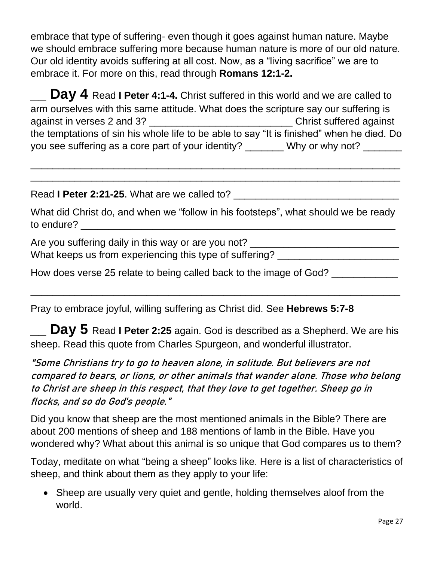embrace that type of suffering- even though it goes against human nature. Maybe we should embrace suffering more because human nature is more of our old nature. Our old identity avoids suffering at all cost. Now, as a "living sacrifice" we are to embrace it. For more on this, read through **Romans 12:1-2.**

**Day 4** Read I Peter 4:1-4. Christ suffered in this world and we are called to arm ourselves with this same attitude. What does the scripture say our suffering is against in verses 2 and 3? \_\_\_\_\_\_\_\_\_\_\_\_\_\_\_\_\_\_\_\_\_\_\_\_\_\_ Christ suffered against the temptations of sin his whole life to be able to say "It is finished" when he died. Do you see suffering as a core part of your identity? \_\_\_\_\_\_\_ Why or why not? \_\_\_\_\_\_

\_\_\_\_\_\_\_\_\_\_\_\_\_\_\_\_\_\_\_\_\_\_\_\_\_\_\_\_\_\_\_\_\_\_\_\_\_\_\_\_\_\_\_\_\_\_\_\_\_\_\_\_\_\_\_\_\_\_\_\_\_\_\_\_\_\_\_  $\overline{\phantom{a}}$  , and the contract of the contract of the contract of the contract of the contract of the contract of the contract of the contract of the contract of the contract of the contract of the contract of the contrac

Read **I Peter 2:21-25**. What are we called to? \_\_\_\_\_\_\_\_\_\_\_\_\_\_\_\_\_\_\_\_\_\_\_\_\_\_\_\_\_\_

What did Christ do, and when we "follow in his footsteps", what should we be ready to endure?

Are you suffering daily in this way or are you not? \_\_\_\_\_\_\_\_\_\_\_\_\_\_\_\_\_\_\_\_\_\_\_\_\_\_\_\_ What keeps us from experiencing this type of suffering?

How does verse 25 relate to being called back to the image of God?

Pray to embrace joyful, willing suffering as Christ did. See **Hebrews 5:7-8**

**Day 5** Read I Peter 2:25 again. God is described as a Shepherd. We are his sheep. Read this quote from Charles Spurgeon, and wonderful illustrator.

 $\overline{\phantom{a}}$  , and the contract of the contract of the contract of the contract of the contract of the contract of the contract of the contract of the contract of the contract of the contract of the contract of the contrac

"Some Christians try to go to heaven alone, in solitude. But believers are not compared to bears, or lions, or other animals that wander alone. Those who belong to Christ are sheep in this respect, that they love to get together. Sheep go in flocks, and so do God's people."

Did you know that sheep are the most mentioned animals in the Bible? There are about 200 mentions of sheep and 188 mentions of lamb in the Bible. Have you wondered why? What about this animal is so unique that God compares us to them?

Today, meditate on what "being a sheep" looks like. Here is a list of characteristics of sheep, and think about them as they apply to your life:

• Sheep are usually very quiet and gentle, holding themselves aloof from the world.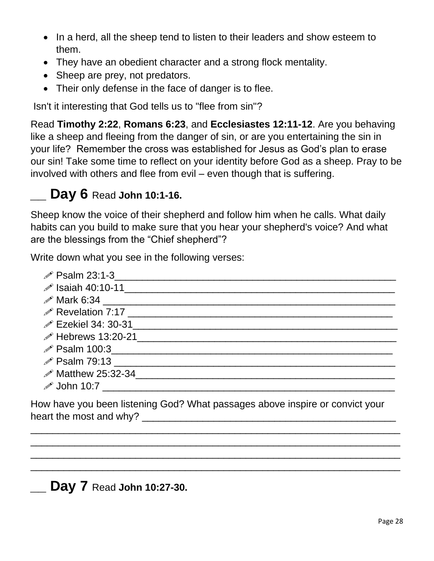- In a herd, all the sheep tend to listen to their leaders and show esteem to them.
- They have an obedient character and a strong flock mentality.
- Sheep are prey, not predators.
- Their only defense in the face of danger is to flee.

Isn't it interesting that God tells us to "flee from sin"?

Read **Timothy 2:22**, **Romans 6:23**, and **Ecclesiastes 12:11-12**. Are you behaving like a sheep and fleeing from the danger of sin, or are you entertaining the sin in your life? Remember the cross was established for Jesus as God's plan to erase our sin! Take some time to reflect on your identity before God as a sheep. Pray to be involved with others and flee from evil – even though that is suffering.

### **\_\_ Day 6** Read **John 10:1-16.**

Sheep know the voice of their shepherd and follow him when he calls. What daily habits can you build to make sure that you hear your shepherd's voice? And what are the blessings from the "Chief shepherd"?

Write down what you see in the following verses:

| $\mathscr{P}$ Psalm 23:1-3                              |
|---------------------------------------------------------|
|                                                         |
|                                                         |
| <b>∕ Revelation 7:17</b> <u><u>2000 1000 minute</u></u> |
|                                                         |
| $\mathscr{P}$ Hebrews 13:20-21                          |
| <i>i</i> Psalm 100:3 <u>Alexander Contract Control</u>  |
| $\mathscr{P}$ Psalm 79:13                               |
| $\mathscr{P}$ Matthew 25:32-34                          |
| $\mathscr{P}$ John 10:7                                 |

How have you been listening God? What passages above inspire or convict your heart the most and why? \_\_\_\_\_\_\_\_\_\_\_\_\_\_\_\_\_\_\_\_\_\_\_\_\_\_\_\_\_\_\_\_\_\_\_\_\_\_\_\_\_\_\_\_\_\_

\_\_\_\_\_\_\_\_\_\_\_\_\_\_\_\_\_\_\_\_\_\_\_\_\_\_\_\_\_\_\_\_\_\_\_\_\_\_\_\_\_\_\_\_\_\_\_\_\_\_\_\_\_\_\_\_\_\_\_\_\_\_\_\_\_\_\_  $\overline{\phantom{a}}$  , and the contract of the contract of the contract of the contract of the contract of the contract of the contract of the contract of the contract of the contract of the contract of the contract of the contrac  $\overline{\phantom{a}}$  , and the contract of the contract of the contract of the contract of the contract of the contract of the contract of the contract of the contract of the contract of the contract of the contract of the contrac \_\_\_\_\_\_\_\_\_\_\_\_\_\_\_\_\_\_\_\_\_\_\_\_\_\_\_\_\_\_\_\_\_\_\_\_\_\_\_\_\_\_\_\_\_\_\_\_\_\_\_\_\_\_\_\_\_\_\_\_\_\_\_\_\_\_\_

**\_\_ Day 7** Read **John 10:27-30.**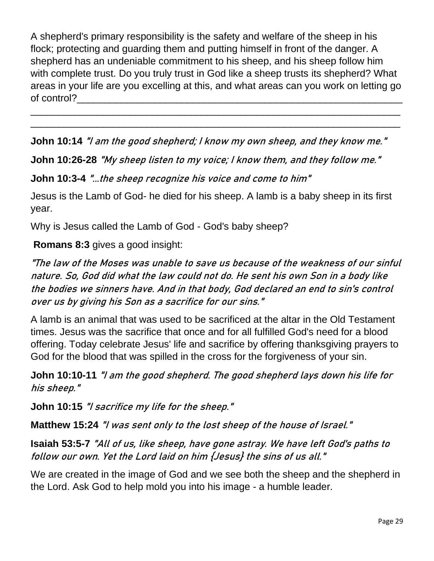A shepherd's primary responsibility is the safety and welfare of the sheep in his flock; protecting and guarding them and putting himself in front of the danger. A shepherd has an undeniable commitment to his sheep, and his sheep follow him with complete trust. Do you truly trust in God like a sheep trusts its shepherd? What areas in your life are you excelling at this, and what areas can you work on letting go of control?

 $\overline{\phantom{a}}$  , and the contract of the contract of the contract of the contract of the contract of the contract of the contract of the contract of the contract of the contract of the contract of the contract of the contrac  $\overline{\phantom{a}}$  , and the contract of the contract of the contract of the contract of the contract of the contract of the contract of the contract of the contract of the contract of the contract of the contract of the contrac

**John 10:14** "I am the good shepherd; I know my own sheep, and they know me."

**John 10:26-28** "My sheep listen to my voice; I know them, and they follow me."

**John 10:3-4** "...the sheep recognize his voice and come to him"

Jesus is the Lamb of God- he died for his sheep. A lamb is a baby sheep in its first year.

Why is Jesus called the Lamb of God - God's baby sheep?

**Romans 8:3** gives a good insight:

"The law of the Moses was unable to save us because of the weakness of our sinful nature. So, God did what the law could not do. He sent his own Son in a body like the bodies we sinners have. And in that body, God declared an end to sin's control over us by giving his Son as a sacrifice for our sins."

A lamb is an animal that was used to be sacrificed at the altar in the Old Testament times. Jesus was the sacrifice that once and for all fulfilled God's need for a blood offering. Today celebrate Jesus' life and sacrifice by offering thanksgiving prayers to God for the blood that was spilled in the cross for the forgiveness of your sin.

**John 10:10-11** "I am the good shepherd. The good shepherd lays down his life for his sheep."

**John 10:15** "I sacrifice my life for the sheep."

**Matthew 15:24** "I was sent only to the lost sheep of the house of Israel."

**Isaiah 53:5-7** "All of us, like sheep, have gone astray. We have left God's paths to follow our own. Yet the Lord laid on him {Jesus} the sins of us all."

We are created in the image of God and we see both the sheep and the shepherd in the Lord. Ask God to help mold you into his image - a humble leader.